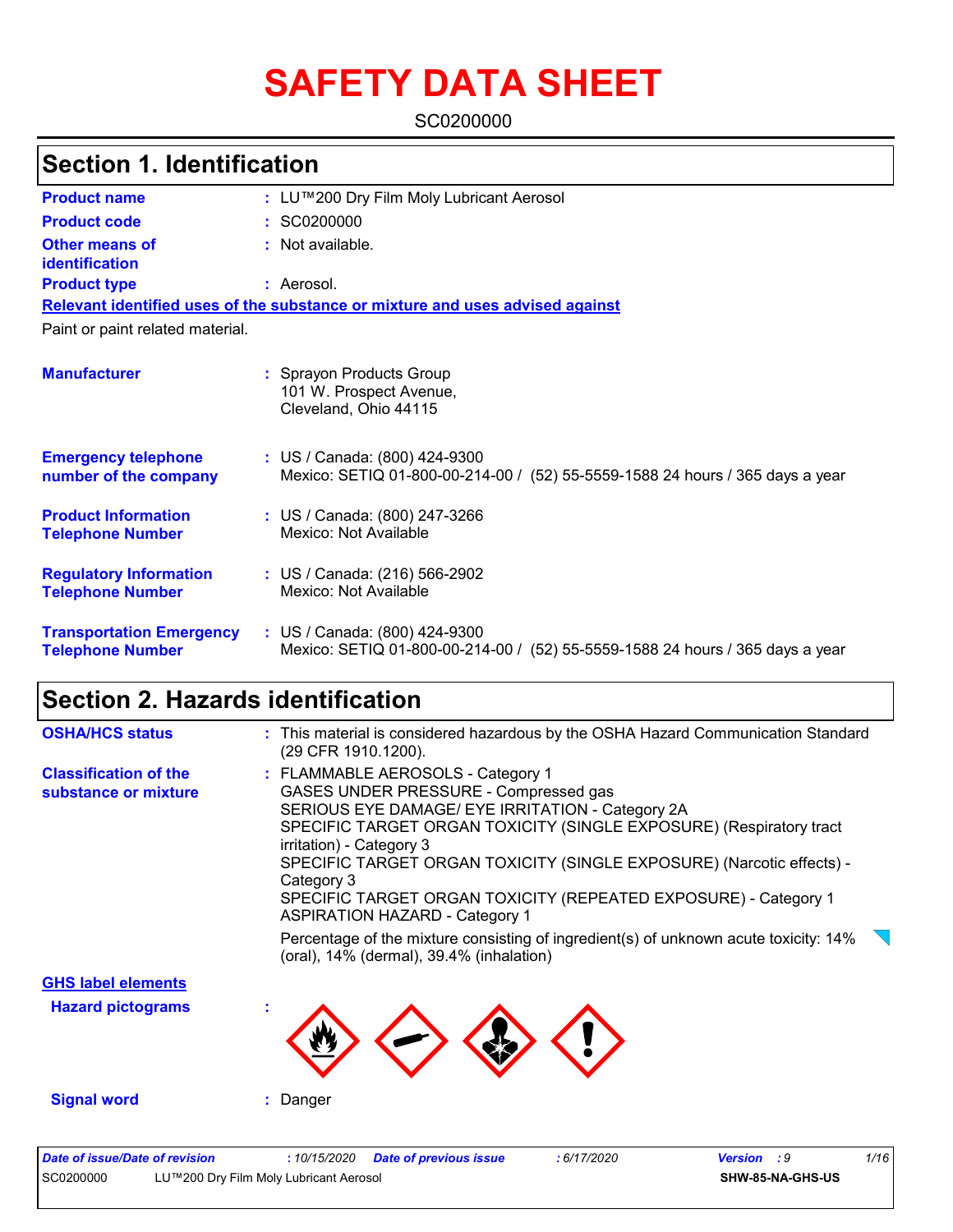# **SAFETY DATA SHEET**

SC0200000

## **Section 1. Identification**

| <b>Product name</b>                                        | : LU™200 Dry Film Moly Lubricant Aerosol                                                                          |
|------------------------------------------------------------|-------------------------------------------------------------------------------------------------------------------|
| <b>Product code</b>                                        | : SC0200000                                                                                                       |
| Other means of<br>identification                           | : Not available.                                                                                                  |
| <b>Product type</b>                                        | : Aerosol.                                                                                                        |
|                                                            | Relevant identified uses of the substance or mixture and uses advised against                                     |
| Paint or paint related material.                           |                                                                                                                   |
| <b>Manufacturer</b>                                        | : Sprayon Products Group<br>101 W. Prospect Avenue,<br>Cleveland, Ohio 44115                                      |
| <b>Emergency telephone</b><br>number of the company        | : US / Canada: (800) 424-9300<br>Mexico: SETIQ 01-800-00-214-00 / (52) 55-5559-1588 24 hours / 365 days a year    |
| <b>Product Information</b><br><b>Telephone Number</b>      | : US / Canada: (800) 247-3266<br>Mexico: Not Available                                                            |
| <b>Regulatory Information</b><br><b>Telephone Number</b>   | : US / Canada: (216) 566-2902<br>Mexico: Not Available                                                            |
| <b>Transportation Emergency</b><br><b>Telephone Number</b> | : US / Canada: (800) 424-9300<br>Mexico: SETIQ 01-800-00-214-00 /<br>(52) 55-5559-1588 24 hours / 365 days a year |

## **Section 2. Hazards identification**

| <b>OSHA/HCS status</b>                               | : This material is considered hazardous by the OSHA Hazard Communication Standard<br>(29 CFR 1910.1200).                                                                                                                                                                                                                                                                                                                             |
|------------------------------------------------------|--------------------------------------------------------------------------------------------------------------------------------------------------------------------------------------------------------------------------------------------------------------------------------------------------------------------------------------------------------------------------------------------------------------------------------------|
| <b>Classification of the</b><br>substance or mixture | : FLAMMABLE AEROSOLS - Category 1<br>GASES UNDER PRESSURE - Compressed gas<br>SERIOUS EYE DAMAGE/ EYE IRRITATION - Category 2A<br>SPECIFIC TARGET ORGAN TOXICITY (SINGLE EXPOSURE) (Respiratory tract<br>irritation) - Category 3<br>SPECIFIC TARGET ORGAN TOXICITY (SINGLE EXPOSURE) (Narcotic effects) -<br>Category 3<br>SPECIFIC TARGET ORGAN TOXICITY (REPEATED EXPOSURE) - Category 1<br><b>ASPIRATION HAZARD - Category 1</b> |
|                                                      | Percentage of the mixture consisting of ingredient(s) of unknown acute toxicity: 14%<br>(oral), $14\%$ (dermal), $39.4\%$ (inhalation)                                                                                                                                                                                                                                                                                               |
| <b>GHS label elements</b>                            |                                                                                                                                                                                                                                                                                                                                                                                                                                      |
| <b>Hazard pictograms</b>                             |                                                                                                                                                                                                                                                                                                                                                                                                                                      |
| <b>Signal word</b>                                   | : Danger                                                                                                                                                                                                                                                                                                                                                                                                                             |
| Protected to accel Protected and constants of        | $\overline{A}$<br>$0.47$ mana<br>$\mathbf{1}$<br>Bata af annulaus lesus.                                                                                                                                                                                                                                                                                                                                                             |

| Date of issue/Date of revision |                                        | : 10/15/2020 Date of previous issue | : 6/17/2020 | <b>Version</b> : 9 |                  | 1/16 |
|--------------------------------|----------------------------------------|-------------------------------------|-------------|--------------------|------------------|------|
| SC0200000                      | LU™200 Dry Film Moly Lubricant Aerosol |                                     |             |                    | SHW-85-NA-GHS-US |      |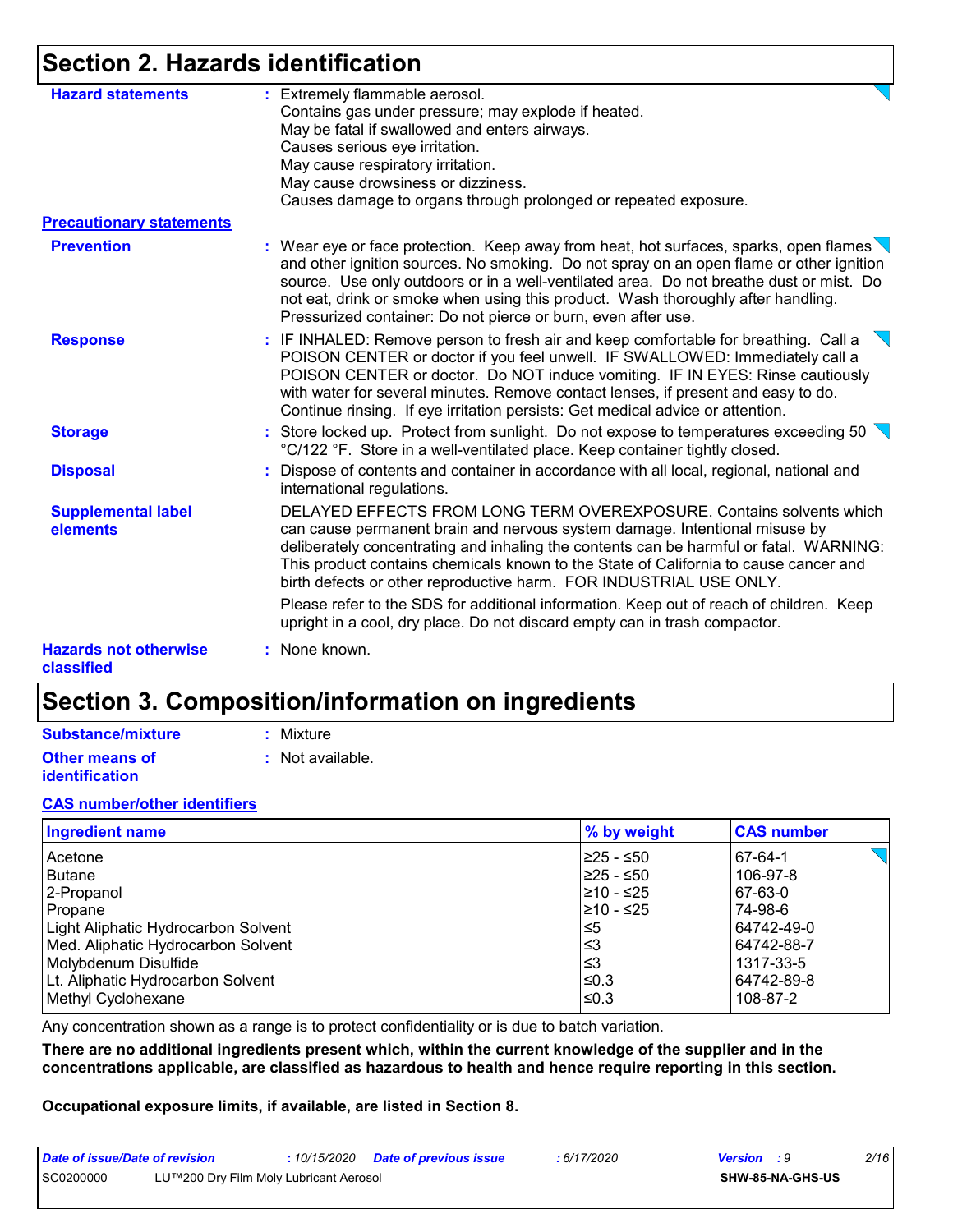## **Section 2. Hazards identification**

| <b>Hazard statements</b>                   | : Extremely flammable aerosol.<br>Contains gas under pressure; may explode if heated.<br>May be fatal if swallowed and enters airways.<br>Causes serious eye irritation.<br>May cause respiratory irritation.<br>May cause drowsiness or dizziness.<br>Causes damage to organs through prolonged or repeated exposure.                                                                                                           |
|--------------------------------------------|----------------------------------------------------------------------------------------------------------------------------------------------------------------------------------------------------------------------------------------------------------------------------------------------------------------------------------------------------------------------------------------------------------------------------------|
| <b>Precautionary statements</b>            |                                                                                                                                                                                                                                                                                                                                                                                                                                  |
| <b>Prevention</b>                          | : Wear eye or face protection. Keep away from heat, hot surfaces, sparks, open flames<br>and other ignition sources. No smoking. Do not spray on an open flame or other ignition<br>source. Use only outdoors or in a well-ventilated area. Do not breathe dust or mist. Do<br>not eat, drink or smoke when using this product. Wash thoroughly after handling.<br>Pressurized container: Do not pierce or burn, even after use. |
| <b>Response</b>                            | : IF INHALED: Remove person to fresh air and keep comfortable for breathing. Call a<br>POISON CENTER or doctor if you feel unwell. IF SWALLOWED: Immediately call a<br>POISON CENTER or doctor. Do NOT induce vomiting. IF IN EYES: Rinse cautiously<br>with water for several minutes. Remove contact lenses, if present and easy to do.<br>Continue rinsing. If eye irritation persists: Get medical advice or attention.      |
| <b>Storage</b>                             | : Store locked up. Protect from sunlight. Do not expose to temperatures exceeding 50<br>°C/122 °F. Store in a well-ventilated place. Keep container tightly closed.                                                                                                                                                                                                                                                              |
| <b>Disposal</b>                            | : Dispose of contents and container in accordance with all local, regional, national and<br>international regulations.                                                                                                                                                                                                                                                                                                           |
| <b>Supplemental label</b><br>elements      | DELAYED EFFECTS FROM LONG TERM OVEREXPOSURE. Contains solvents which<br>can cause permanent brain and nervous system damage. Intentional misuse by<br>deliberately concentrating and inhaling the contents can be harmful or fatal. WARNING:<br>This product contains chemicals known to the State of California to cause cancer and<br>birth defects or other reproductive harm. FOR INDUSTRIAL USE ONLY.                       |
|                                            | Please refer to the SDS for additional information. Keep out of reach of children. Keep<br>upright in a cool, dry place. Do not discard empty can in trash compactor.                                                                                                                                                                                                                                                            |
| <b>Hazards not otherwise</b><br>classified | : None known.                                                                                                                                                                                                                                                                                                                                                                                                                    |

## **Section 3. Composition/information on ingredients**

| <b>Substance/mixture</b> |  |
|--------------------------|--|
|--------------------------|--|

**Other means of identification**

**:** Mixture

**:** Not available.

#### **CAS number/other identifiers**

| <b>Ingredient name</b>              | % by weight | <b>CAS number</b>     |
|-------------------------------------|-------------|-----------------------|
| Acetone                             | I≥25 - ≤50  | $\sqrt{2}$<br>67-64-1 |
| <b>Butane</b>                       | I≥25 - ≤50  | 106-97-8              |
| 2-Propanol                          | 210 - ≤25   | 67-63-0               |
| Propane                             | l≥10 - ≤25  | 74-98-6               |
| Light Aliphatic Hydrocarbon Solvent | 5≥ا         | 64742-49-0            |
| Med. Aliphatic Hydrocarbon Solvent  | ו≥ا         | 64742-88-7            |
| Molybdenum Disulfide                | l≤3         | 1317-33-5             |
| Lt. Aliphatic Hydrocarbon Solvent   | I≤0.3       | 64742-89-8            |
| Methyl Cyclohexane                  | $\leq$ 0.3  | 108-87-2              |

Any concentration shown as a range is to protect confidentiality or is due to batch variation.

**There are no additional ingredients present which, within the current knowledge of the supplier and in the concentrations applicable, are classified as hazardous to health and hence require reporting in this section.**

**Occupational exposure limits, if available, are listed in Section 8.**

| Date of issue/Date of revision |                                        | : 10/15/2020 Date of previous issue | : 6/17/2020 | <b>Version</b> : 9 |                  | 2/16 |
|--------------------------------|----------------------------------------|-------------------------------------|-------------|--------------------|------------------|------|
| SC0200000                      | LU™200 Dry Film Moly Lubricant Aerosol |                                     |             |                    | SHW-85-NA-GHS-US |      |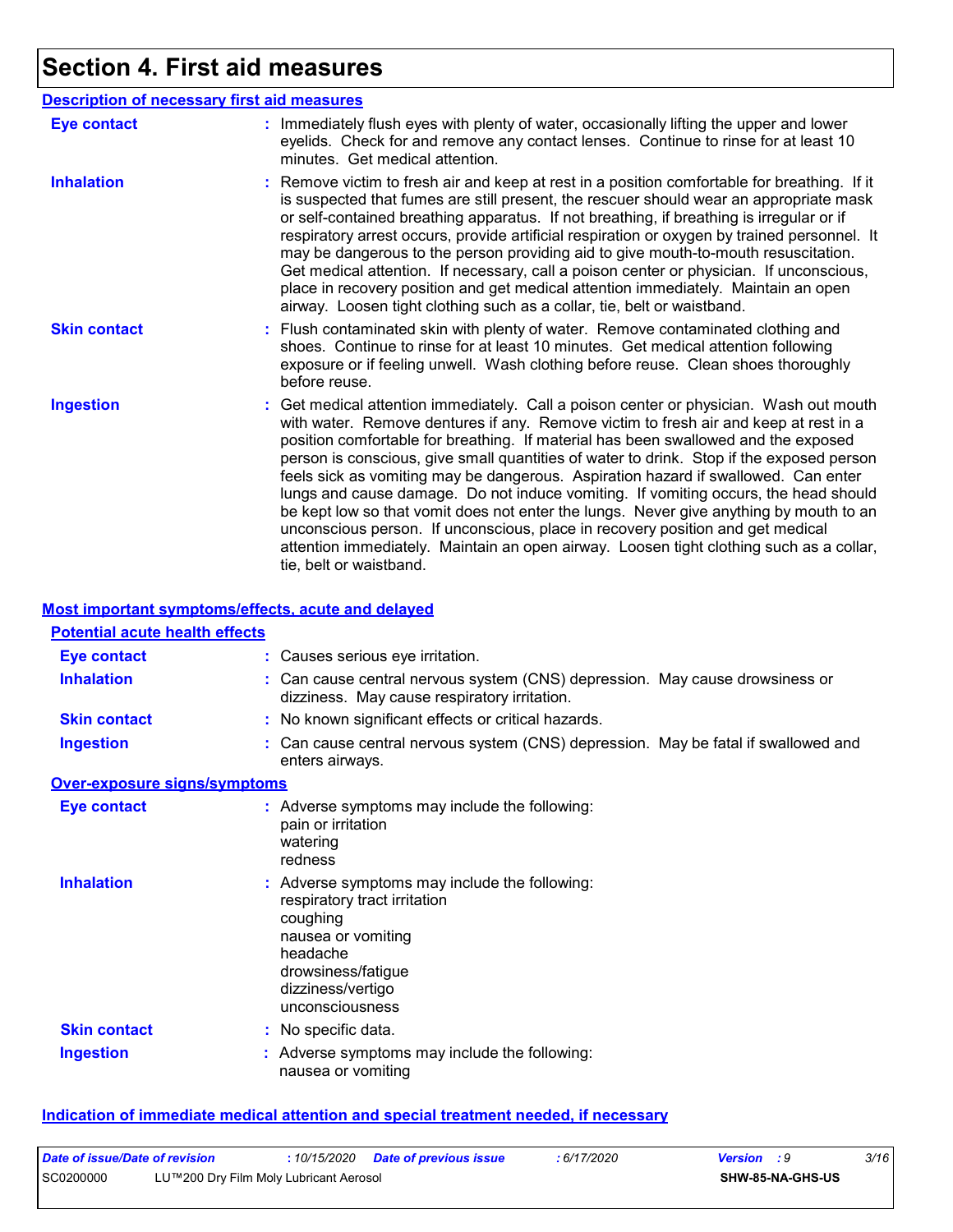# **Section 4. First aid measures**

| <b>Description of necessary first aid measures</b> |                                                                                                                                                                                                                                                                                                                                                                                                                                                                                                                                                                                                                                                                                                                                                                                                                                                 |
|----------------------------------------------------|-------------------------------------------------------------------------------------------------------------------------------------------------------------------------------------------------------------------------------------------------------------------------------------------------------------------------------------------------------------------------------------------------------------------------------------------------------------------------------------------------------------------------------------------------------------------------------------------------------------------------------------------------------------------------------------------------------------------------------------------------------------------------------------------------------------------------------------------------|
| <b>Eye contact</b>                                 | : Immediately flush eyes with plenty of water, occasionally lifting the upper and lower<br>eyelids. Check for and remove any contact lenses. Continue to rinse for at least 10<br>minutes. Get medical attention.                                                                                                                                                                                                                                                                                                                                                                                                                                                                                                                                                                                                                               |
| <b>Inhalation</b>                                  | : Remove victim to fresh air and keep at rest in a position comfortable for breathing. If it<br>is suspected that fumes are still present, the rescuer should wear an appropriate mask<br>or self-contained breathing apparatus. If not breathing, if breathing is irregular or if<br>respiratory arrest occurs, provide artificial respiration or oxygen by trained personnel. It<br>may be dangerous to the person providing aid to give mouth-to-mouth resuscitation.<br>Get medical attention. If necessary, call a poison center or physician. If unconscious,<br>place in recovery position and get medical attention immediately. Maintain an open<br>airway. Loosen tight clothing such as a collar, tie, belt or waistband.                                                                                                            |
| <b>Skin contact</b>                                | : Flush contaminated skin with plenty of water. Remove contaminated clothing and<br>shoes. Continue to rinse for at least 10 minutes. Get medical attention following<br>exposure or if feeling unwell. Wash clothing before reuse. Clean shoes thoroughly<br>before reuse.                                                                                                                                                                                                                                                                                                                                                                                                                                                                                                                                                                     |
| <b>Ingestion</b>                                   | : Get medical attention immediately. Call a poison center or physician. Wash out mouth<br>with water. Remove dentures if any. Remove victim to fresh air and keep at rest in a<br>position comfortable for breathing. If material has been swallowed and the exposed<br>person is conscious, give small quantities of water to drink. Stop if the exposed person<br>feels sick as vomiting may be dangerous. Aspiration hazard if swallowed. Can enter<br>lungs and cause damage. Do not induce vomiting. If vomiting occurs, the head should<br>be kept low so that vomit does not enter the lungs. Never give anything by mouth to an<br>unconscious person. If unconscious, place in recovery position and get medical<br>attention immediately. Maintain an open airway. Loosen tight clothing such as a collar,<br>tie, belt or waistband. |

#### **Most important symptoms/effects, acute and delayed**

#### **Potential acute health effects**

| Eye contact                         | : Causes serious eye irritation.                                                                                                                                                          |
|-------------------------------------|-------------------------------------------------------------------------------------------------------------------------------------------------------------------------------------------|
| <b>Inhalation</b>                   | : Can cause central nervous system (CNS) depression. May cause drowsiness or<br>dizziness. May cause respiratory irritation.                                                              |
| <b>Skin contact</b>                 | : No known significant effects or critical hazards.                                                                                                                                       |
| <b>Ingestion</b>                    | : Can cause central nervous system (CNS) depression. May be fatal if swallowed and<br>enters airways.                                                                                     |
| <b>Over-exposure signs/symptoms</b> |                                                                                                                                                                                           |
| Eye contact                         | : Adverse symptoms may include the following:<br>pain or irritation<br>watering<br>redness                                                                                                |
| <b>Inhalation</b>                   | : Adverse symptoms may include the following:<br>respiratory tract irritation<br>coughing<br>nausea or vomiting<br>headache<br>drowsiness/fatigue<br>dizziness/vertigo<br>unconsciousness |
| <b>Skin contact</b>                 | : No specific data.                                                                                                                                                                       |
| <b>Ingestion</b>                    | : Adverse symptoms may include the following:<br>nausea or vomiting                                                                                                                       |

#### **Indication of immediate medical attention and special treatment needed, if necessary**

| Date of issue/Date of revision |                                        | : 10/15/2020 Date of previous issue | 6/17/2020 | <b>Version</b> : 9 | 3/16 |
|--------------------------------|----------------------------------------|-------------------------------------|-----------|--------------------|------|
| SC0200000                      | LU™200 Dry Film Moly Lubricant Aerosol |                                     |           | SHW-85-NA-GHS-US   |      |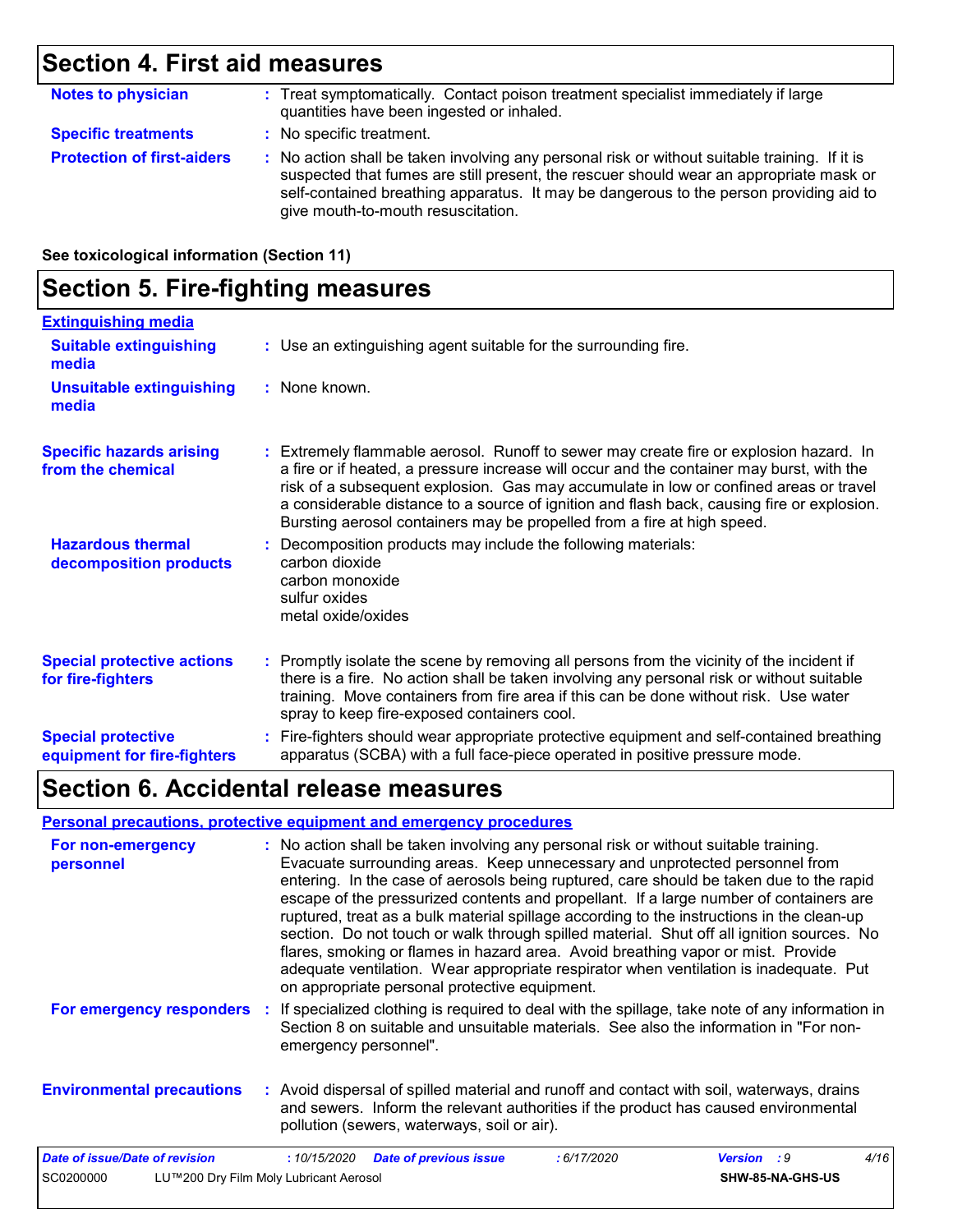### **Section 4. First aid measures**

| <b>Notes to physician</b>         | : Treat symptomatically. Contact poison treatment specialist immediately if large<br>quantities have been ingested or inhaled.                                                                                                                                                                                          |
|-----------------------------------|-------------------------------------------------------------------------------------------------------------------------------------------------------------------------------------------------------------------------------------------------------------------------------------------------------------------------|
| <b>Specific treatments</b>        | : No specific treatment.                                                                                                                                                                                                                                                                                                |
| <b>Protection of first-aiders</b> | : No action shall be taken involving any personal risk or without suitable training. If it is<br>suspected that fumes are still present, the rescuer should wear an appropriate mask or<br>self-contained breathing apparatus. It may be dangerous to the person providing aid to<br>give mouth-to-mouth resuscitation. |

**See toxicological information (Section 11)**

#### **Section 5. Fire-fighting measures :** Promptly isolate the scene by removing all persons from the vicinity of the incident if there is a fire. No action shall be taken involving any personal risk or without suitable training. Move containers from fire area if this can be done without risk. Use water spray to keep fire-exposed containers cool. **Hazardous thermal decomposition products Specific hazards arising from the chemical** Decomposition products may include the following materials: **:** carbon dioxide carbon monoxide sulfur oxides metal oxide/oxides Extremely flammable aerosol. Runoff to sewer may create fire or explosion hazard. In **:** a fire or if heated, a pressure increase will occur and the container may burst, with the risk of a subsequent explosion. Gas may accumulate in low or confined areas or travel a considerable distance to a source of ignition and flash back, causing fire or explosion. Bursting aerosol containers may be propelled from a fire at high speed. Fire-fighters should wear appropriate protective equipment and self-contained breathing **:** apparatus (SCBA) with a full face-piece operated in positive pressure mode. **Special protective equipment for fire-fighters** Use an extinguishing agent suitable for the surrounding fire. **: Extinguishing media :** None known. **Suitable extinguishing media Unsuitable extinguishing media Special protective actions for fire-fighters**

### **Section 6. Accidental release measures**

#### **Personal precautions, protective equipment and emergency procedures**

| For non-emergency<br>personnel   | : No action shall be taken involving any personal risk or without suitable training.<br>Evacuate surrounding areas. Keep unnecessary and unprotected personnel from<br>entering. In the case of aerosols being ruptured, care should be taken due to the rapid<br>escape of the pressurized contents and propellant. If a large number of containers are<br>ruptured, treat as a bulk material spillage according to the instructions in the clean-up<br>section. Do not touch or walk through spilled material. Shut off all ignition sources. No<br>flares, smoking or flames in hazard area. Avoid breathing vapor or mist. Provide<br>adequate ventilation. Wear appropriate respirator when ventilation is inadequate. Put<br>on appropriate personal protective equipment. |  |  |  |
|----------------------------------|----------------------------------------------------------------------------------------------------------------------------------------------------------------------------------------------------------------------------------------------------------------------------------------------------------------------------------------------------------------------------------------------------------------------------------------------------------------------------------------------------------------------------------------------------------------------------------------------------------------------------------------------------------------------------------------------------------------------------------------------------------------------------------|--|--|--|
| For emergency responders         | If specialized clothing is required to deal with the spillage, take note of any information in<br>Section 8 on suitable and unsuitable materials. See also the information in "For non-<br>emergency personnel".                                                                                                                                                                                                                                                                                                                                                                                                                                                                                                                                                                 |  |  |  |
| <b>Environmental precautions</b> | : Avoid dispersal of spilled material and runoff and contact with soil, waterways, drains<br>and sewers. Inform the relevant authorities if the product has caused environmental<br>pollution (sewers, waterways, soil or air).                                                                                                                                                                                                                                                                                                                                                                                                                                                                                                                                                  |  |  |  |
| Date of issue/Date of revision   | 4/16<br><b>Date of previous issue</b><br>: 6/17/2020<br><b>Version</b><br>:10/15/2020<br>- : 9                                                                                                                                                                                                                                                                                                                                                                                                                                                                                                                                                                                                                                                                                   |  |  |  |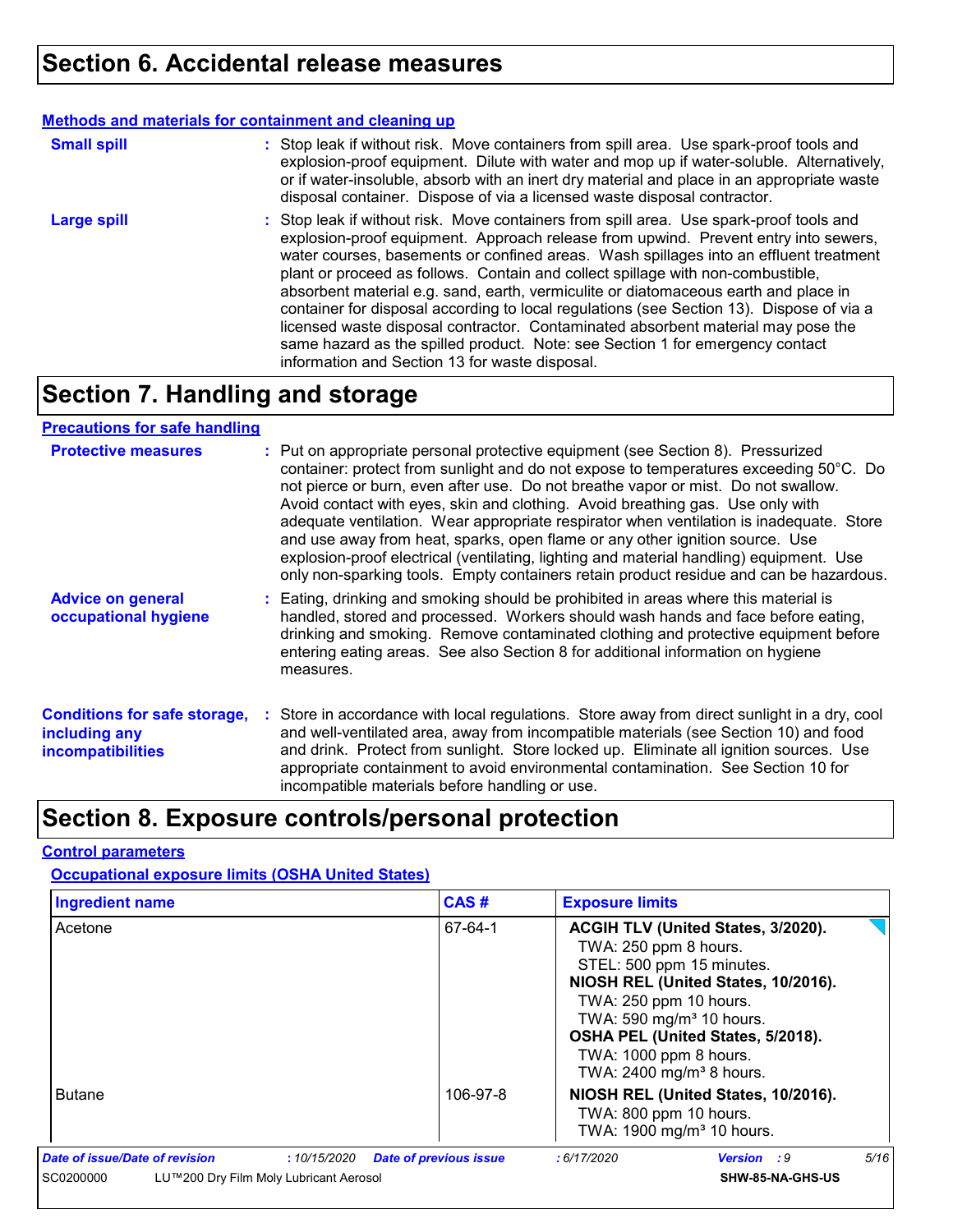#### **Methods and materials for containment and cleaning up**

| <b>Small spill</b> | : Stop leak if without risk. Move containers from spill area. Use spark-proof tools and<br>explosion-proof equipment. Dilute with water and mop up if water-soluble. Alternatively,<br>or if water-insoluble, absorb with an inert dry material and place in an appropriate waste<br>disposal container. Dispose of via a licensed waste disposal contractor.                                                                                                                                                                                                                                                                                                                                                                                                        |
|--------------------|----------------------------------------------------------------------------------------------------------------------------------------------------------------------------------------------------------------------------------------------------------------------------------------------------------------------------------------------------------------------------------------------------------------------------------------------------------------------------------------------------------------------------------------------------------------------------------------------------------------------------------------------------------------------------------------------------------------------------------------------------------------------|
| <b>Large spill</b> | : Stop leak if without risk. Move containers from spill area. Use spark-proof tools and<br>explosion-proof equipment. Approach release from upwind. Prevent entry into sewers,<br>water courses, basements or confined areas. Wash spillages into an effluent treatment<br>plant or proceed as follows. Contain and collect spillage with non-combustible,<br>absorbent material e.g. sand, earth, vermiculite or diatomaceous earth and place in<br>container for disposal according to local regulations (see Section 13). Dispose of via a<br>licensed waste disposal contractor. Contaminated absorbent material may pose the<br>same hazard as the spilled product. Note: see Section 1 for emergency contact<br>information and Section 13 for waste disposal. |

### **Section 7. Handling and storage**

#### **Precautions for safe handling**

| <b>Protective measures</b>                                                       | : Put on appropriate personal protective equipment (see Section 8). Pressurized<br>container: protect from sunlight and do not expose to temperatures exceeding 50°C. Do<br>not pierce or burn, even after use. Do not breathe vapor or mist. Do not swallow.<br>Avoid contact with eyes, skin and clothing. Avoid breathing gas. Use only with<br>adequate ventilation. Wear appropriate respirator when ventilation is inadequate. Store<br>and use away from heat, sparks, open flame or any other ignition source. Use<br>explosion-proof electrical (ventilating, lighting and material handling) equipment. Use<br>only non-sparking tools. Empty containers retain product residue and can be hazardous. |
|----------------------------------------------------------------------------------|-----------------------------------------------------------------------------------------------------------------------------------------------------------------------------------------------------------------------------------------------------------------------------------------------------------------------------------------------------------------------------------------------------------------------------------------------------------------------------------------------------------------------------------------------------------------------------------------------------------------------------------------------------------------------------------------------------------------|
| <b>Advice on general</b><br>occupational hygiene                                 | : Eating, drinking and smoking should be prohibited in areas where this material is<br>handled, stored and processed. Workers should wash hands and face before eating,<br>drinking and smoking. Remove contaminated clothing and protective equipment before<br>entering eating areas. See also Section 8 for additional information on hygiene<br>measures.                                                                                                                                                                                                                                                                                                                                                   |
| <b>Conditions for safe storage,</b><br>including any<br><b>incompatibilities</b> | : Store in accordance with local regulations. Store away from direct sunlight in a dry, cool<br>and well-ventilated area, away from incompatible materials (see Section 10) and food<br>and drink. Protect from sunlight. Store locked up. Eliminate all ignition sources. Use<br>appropriate containment to avoid environmental contamination. See Section 10 for<br>incompatible materials before handling or use.                                                                                                                                                                                                                                                                                            |

# **Section 8. Exposure controls/personal protection**

#### **Control parameters**

#### **Occupational exposure limits (OSHA United States)**

| <b>Ingredient name</b>                              | CAS#                                         | <b>Exposure limits</b>                                                                                                                                                                                                                                                                                   |                    |      |
|-----------------------------------------------------|----------------------------------------------|----------------------------------------------------------------------------------------------------------------------------------------------------------------------------------------------------------------------------------------------------------------------------------------------------------|--------------------|------|
| Acetone                                             | 67-64-1                                      | ACGIH TLV (United States, 3/2020).<br>TWA: 250 ppm 8 hours.<br>STEL: 500 ppm 15 minutes.<br>NIOSH REL (United States, 10/2016).<br>TWA: 250 ppm 10 hours.<br>TWA: 590 mg/m <sup>3</sup> 10 hours.<br>OSHA PEL (United States, 5/2018).<br>TWA: 1000 ppm 8 hours.<br>TWA: 2400 mg/m <sup>3</sup> 8 hours. |                    |      |
| <b>Butane</b>                                       | 106-97-8                                     | NIOSH REL (United States, 10/2016).<br>TWA: 800 ppm 10 hours.<br>TWA: 1900 mg/m <sup>3</sup> 10 hours.                                                                                                                                                                                                   |                    |      |
| Date of issue/Date of revision                      | <b>Date of previous issue</b><br>:10/15/2020 | : 6/17/2020                                                                                                                                                                                                                                                                                              | <b>Version</b> : 9 | 5/16 |
| SC0200000<br>LU™200 Dry Film Moly Lubricant Aerosol |                                              |                                                                                                                                                                                                                                                                                                          | SHW-85-NA-GHS-US   |      |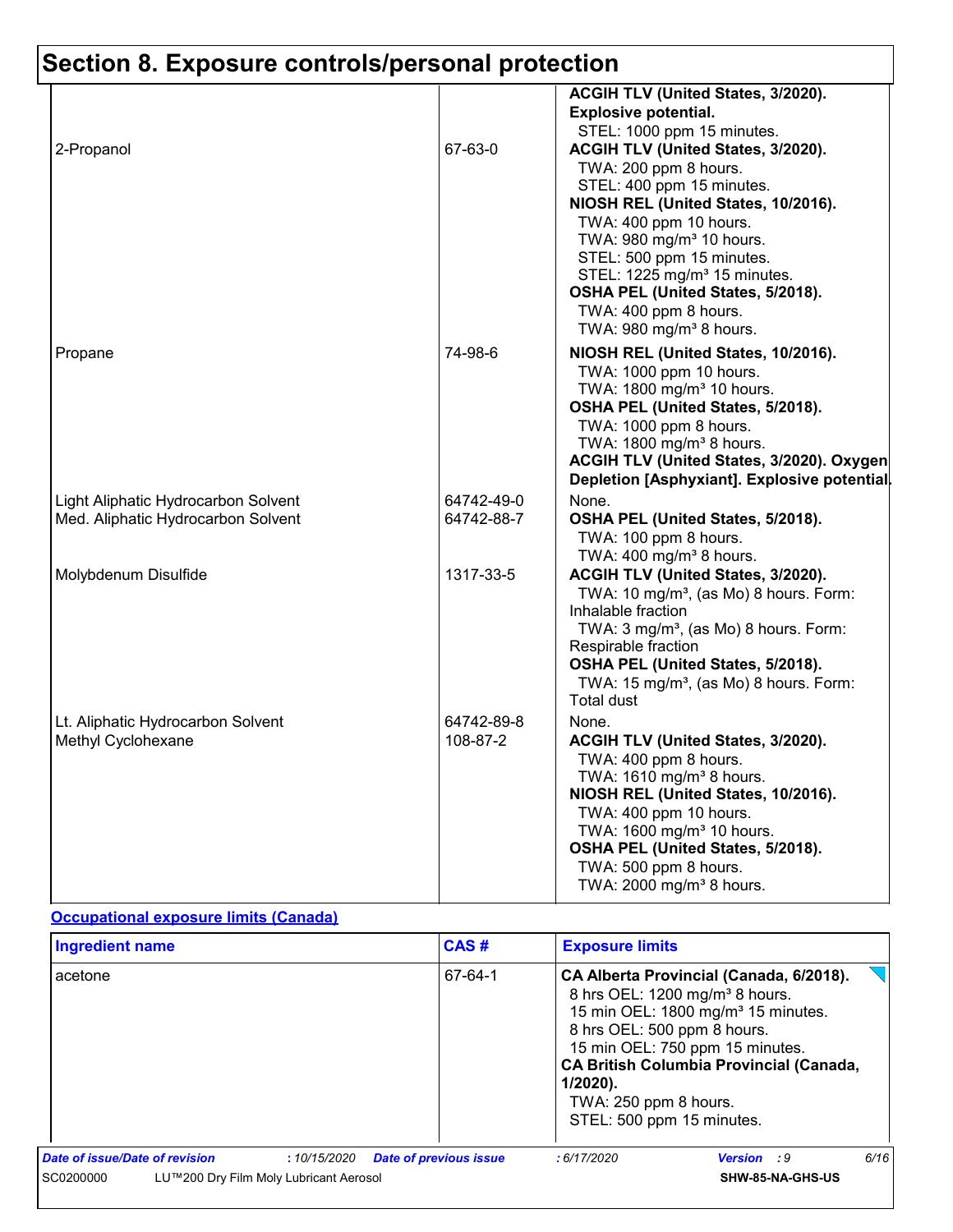|                                                                           |                          | ACGIH TLV (United States, 3/2020).<br><b>Explosive potential.</b>                                                                                                                                                                                                                                                                                                                                             |
|---------------------------------------------------------------------------|--------------------------|---------------------------------------------------------------------------------------------------------------------------------------------------------------------------------------------------------------------------------------------------------------------------------------------------------------------------------------------------------------------------------------------------------------|
| 2-Propanol                                                                | 67-63-0                  | STEL: 1000 ppm 15 minutes.<br>ACGIH TLV (United States, 3/2020).<br>TWA: 200 ppm 8 hours.<br>STEL: 400 ppm 15 minutes.<br>NIOSH REL (United States, 10/2016).<br>TWA: 400 ppm 10 hours.<br>TWA: 980 mg/m <sup>3</sup> 10 hours.<br>STEL: 500 ppm 15 minutes.<br>STEL: 1225 mg/m <sup>3</sup> 15 minutes.<br>OSHA PEL (United States, 5/2018).<br>TWA: 400 ppm 8 hours.<br>TWA: 980 mg/m <sup>3</sup> 8 hours. |
| Propane                                                                   | 74-98-6                  | NIOSH REL (United States, 10/2016).<br>TWA: 1000 ppm 10 hours.<br>TWA: 1800 mg/m <sup>3</sup> 10 hours.<br>OSHA PEL (United States, 5/2018).<br>TWA: 1000 ppm 8 hours.<br>TWA: 1800 mg/m <sup>3</sup> 8 hours.<br>ACGIH TLV (United States, 3/2020). Oxygen<br>Depletion [Asphyxiant]. Explosive potential.                                                                                                   |
| Light Aliphatic Hydrocarbon Solvent<br>Med. Aliphatic Hydrocarbon Solvent | 64742-49-0<br>64742-88-7 | None.<br>OSHA PEL (United States, 5/2018).<br>TWA: 100 ppm 8 hours.<br>TWA: 400 mg/m <sup>3</sup> 8 hours.                                                                                                                                                                                                                                                                                                    |
| Molybdenum Disulfide                                                      | 1317-33-5                | ACGIH TLV (United States, 3/2020).<br>TWA: 10 mg/m <sup>3</sup> , (as Mo) 8 hours. Form:<br>Inhalable fraction<br>TWA: 3 mg/m <sup>3</sup> , (as Mo) 8 hours. Form:<br>Respirable fraction<br>OSHA PEL (United States, 5/2018).<br>TWA: 15 mg/m <sup>3</sup> , (as Mo) 8 hours. Form:<br><b>Total dust</b>                                                                                                    |
| Lt. Aliphatic Hydrocarbon Solvent<br>Methyl Cyclohexane                   | 64742-89-8<br>108-87-2   | None.<br>ACGIH TLV (United States, 3/2020).<br>TWA: 400 ppm 8 hours.<br>TWA: 1610 mg/m <sup>3</sup> 8 hours.<br>NIOSH REL (United States, 10/2016).<br>TWA: 400 ppm 10 hours.<br>TWA: 1600 mg/m <sup>3</sup> 10 hours.<br>OSHA PEL (United States, 5/2018).<br>TWA: 500 ppm 8 hours.<br>TWA: 2000 mg/m <sup>3</sup> 8 hours.                                                                                  |

#### **Occupational exposure limits (Canada)**

|                                | <b>Ingredient name</b>                 |             | CAS#                          | <b>Exposure limits</b>                                                                           |                                                                                                                                                                                                                              |      |
|--------------------------------|----------------------------------------|-------------|-------------------------------|--------------------------------------------------------------------------------------------------|------------------------------------------------------------------------------------------------------------------------------------------------------------------------------------------------------------------------------|------|
| acetone                        |                                        |             | 67-64-1                       | 8 hrs OEL: 500 ppm 8 hours.<br>$1/2020$ ).<br>TWA: 250 ppm 8 hours.<br>STEL: 500 ppm 15 minutes. | CA Alberta Provincial (Canada, 6/2018).<br>8 hrs OEL: 1200 mg/m <sup>3</sup> 8 hours.<br>15 min OEL: 1800 mg/m <sup>3</sup> 15 minutes.<br>15 min OEL: 750 ppm 15 minutes.<br><b>CA British Columbia Provincial (Canada,</b> |      |
| Date of issue/Date of revision |                                        | :10/15/2020 | <b>Date of previous issue</b> | :6/17/2020                                                                                       | <b>Version</b> : 9                                                                                                                                                                                                           | 6/16 |
| SC0200000                      | LU™200 Dry Film Moly Lubricant Aerosol |             |                               |                                                                                                  | SHW-85-NA-GHS-US                                                                                                                                                                                                             |      |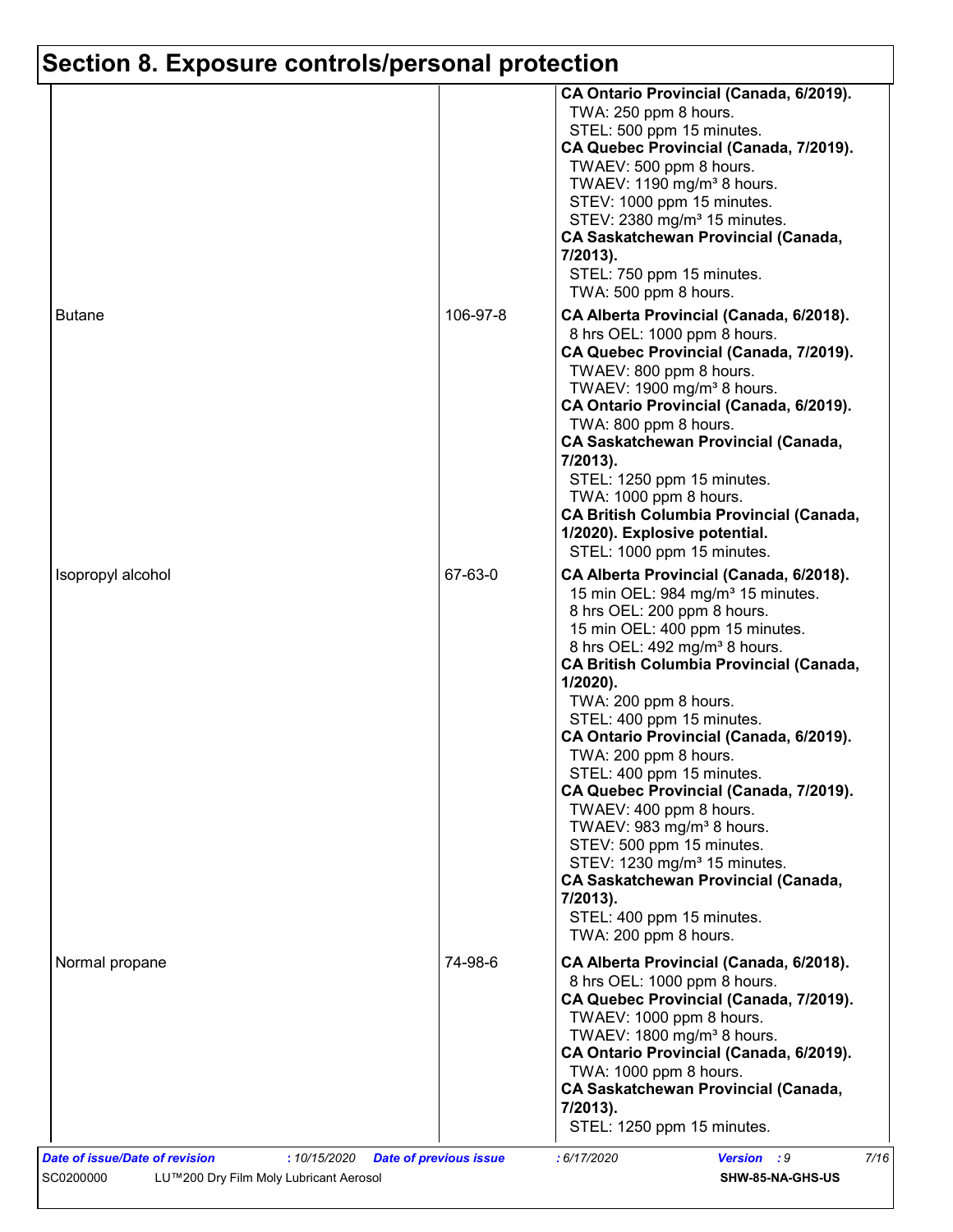|                   |          | CA Ontario Provincial (Canada, 6/2019).                                                                                                                                                                                                                                                                                                                                                                                                                                                                                                                                                                                                                                                                                                |
|-------------------|----------|----------------------------------------------------------------------------------------------------------------------------------------------------------------------------------------------------------------------------------------------------------------------------------------------------------------------------------------------------------------------------------------------------------------------------------------------------------------------------------------------------------------------------------------------------------------------------------------------------------------------------------------------------------------------------------------------------------------------------------------|
|                   |          | TWA: 250 ppm 8 hours.<br>STEL: 500 ppm 15 minutes.<br>CA Quebec Provincial (Canada, 7/2019).<br>TWAEV: 500 ppm 8 hours.<br>TWAEV: 1190 mg/m <sup>3</sup> 8 hours.<br>STEV: 1000 ppm 15 minutes.<br>STEV: 2380 mg/m <sup>3</sup> 15 minutes.<br><b>CA Saskatchewan Provincial (Canada,</b><br>7/2013).<br>STEL: 750 ppm 15 minutes.<br>TWA: 500 ppm 8 hours.                                                                                                                                                                                                                                                                                                                                                                            |
| <b>Butane</b>     | 106-97-8 | CA Alberta Provincial (Canada, 6/2018).<br>8 hrs OEL: 1000 ppm 8 hours.<br>CA Quebec Provincial (Canada, 7/2019).<br>TWAEV: 800 ppm 8 hours.<br>TWAEV: 1900 mg/m <sup>3</sup> 8 hours.<br>CA Ontario Provincial (Canada, 6/2019).<br>TWA: 800 ppm 8 hours.<br><b>CA Saskatchewan Provincial (Canada,</b><br>7/2013).<br>STEL: 1250 ppm 15 minutes.<br>TWA: 1000 ppm 8 hours.<br><b>CA British Columbia Provincial (Canada,</b><br>1/2020). Explosive potential.<br>STEL: 1000 ppm 15 minutes.                                                                                                                                                                                                                                          |
| Isopropyl alcohol | 67-63-0  | CA Alberta Provincial (Canada, 6/2018).<br>15 min OEL: 984 mg/m <sup>3</sup> 15 minutes.<br>8 hrs OEL: 200 ppm 8 hours.<br>15 min OEL: 400 ppm 15 minutes.<br>8 hrs OEL: 492 mg/m <sup>3</sup> 8 hours.<br><b>CA British Columbia Provincial (Canada,</b><br>$1/2020$ ).<br>TWA: 200 ppm 8 hours.<br>STEL: 400 ppm 15 minutes.<br>CA Ontario Provincial (Canada, 6/2019).<br>TWA: 200 ppm 8 hours.<br>STEL: 400 ppm 15 minutes.<br>CA Quebec Provincial (Canada, 7/2019).<br>TWAEV: 400 ppm 8 hours.<br>TWAEV: 983 mg/m <sup>3</sup> 8 hours.<br>STEV: 500 ppm 15 minutes.<br>STEV: 1230 mg/m <sup>3</sup> 15 minutes.<br><b>CA Saskatchewan Provincial (Canada,</b><br>7/2013).<br>STEL: 400 ppm 15 minutes.<br>TWA: 200 ppm 8 hours. |
| Normal propane    | 74-98-6  | CA Alberta Provincial (Canada, 6/2018).<br>8 hrs OEL: 1000 ppm 8 hours.<br>CA Quebec Provincial (Canada, 7/2019).<br>TWAEV: 1000 ppm 8 hours.<br>TWAEV: 1800 mg/m <sup>3</sup> 8 hours.<br>CA Ontario Provincial (Canada, 6/2019).<br>TWA: 1000 ppm 8 hours.<br><b>CA Saskatchewan Provincial (Canada,</b><br>7/2013).                                                                                                                                                                                                                                                                                                                                                                                                                 |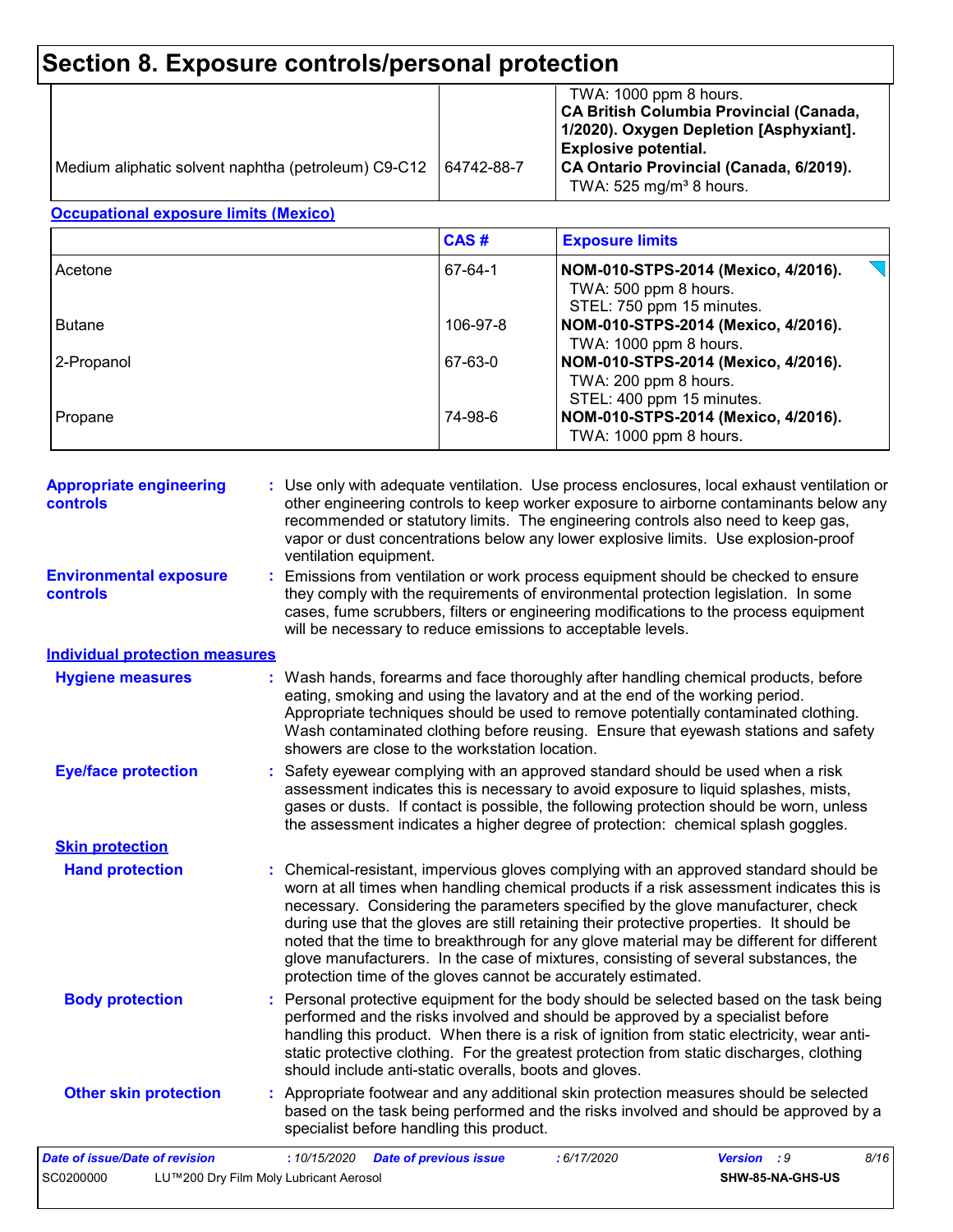| Medium aliphatic solvent naphtha (petroleum) C9-C12 | 64742-88-7 | TWA: 1000 ppm 8 hours.<br>CA British Columbia Provincial (Canada,<br>1/2020). Oxygen Depletion [Asphyxiant].<br><b>Explosive potential.</b><br>CA Ontario Provincial (Canada, 6/2019).<br>TWA: $525$ mg/m <sup>3</sup> 8 hours. |
|-----------------------------------------------------|------------|---------------------------------------------------------------------------------------------------------------------------------------------------------------------------------------------------------------------------------|
|-----------------------------------------------------|------------|---------------------------------------------------------------------------------------------------------------------------------------------------------------------------------------------------------------------------------|

#### **Occupational exposure limits (Mexico)**

|               | CAS#     | <b>Exposure limits</b>                                                                                              |
|---------------|----------|---------------------------------------------------------------------------------------------------------------------|
| Acetone       | 67-64-1  | NOM-010-STPS-2014 (Mexico, 4/2016).<br>TWA: 500 ppm 8 hours.<br>STEL: 750 ppm 15 minutes.                           |
| <b>Butane</b> | 106-97-8 | NOM-010-STPS-2014 (Mexico, 4/2016).                                                                                 |
| 2-Propanol    | 67-63-0  | TWA: 1000 ppm 8 hours.<br>NOM-010-STPS-2014 (Mexico, 4/2016).                                                       |
| Propane       | 74-98-6  | TWA: 200 ppm 8 hours.<br>STEL: 400 ppm 15 minutes.<br>NOM-010-STPS-2014 (Mexico, 4/2016).<br>TWA: 1000 ppm 8 hours. |

| <b>Appropriate engineering</b><br>controls | : Use only with adequate ventilation. Use process enclosures, local exhaust ventilation or<br>other engineering controls to keep worker exposure to airborne contaminants below any<br>recommended or statutory limits. The engineering controls also need to keep gas,<br>vapor or dust concentrations below any lower explosive limits. Use explosion-proof<br>ventilation equipment.                                                                                                                                                                                                                                |
|--------------------------------------------|------------------------------------------------------------------------------------------------------------------------------------------------------------------------------------------------------------------------------------------------------------------------------------------------------------------------------------------------------------------------------------------------------------------------------------------------------------------------------------------------------------------------------------------------------------------------------------------------------------------------|
| <b>Environmental exposure</b><br>controls  | : Emissions from ventilation or work process equipment should be checked to ensure<br>they comply with the requirements of environmental protection legislation. In some<br>cases, fume scrubbers, filters or engineering modifications to the process equipment<br>will be necessary to reduce emissions to acceptable levels.                                                                                                                                                                                                                                                                                        |
| <b>Individual protection measures</b>      |                                                                                                                                                                                                                                                                                                                                                                                                                                                                                                                                                                                                                        |
| <b>Hygiene measures</b>                    | : Wash hands, forearms and face thoroughly after handling chemical products, before<br>eating, smoking and using the lavatory and at the end of the working period.<br>Appropriate techniques should be used to remove potentially contaminated clothing.<br>Wash contaminated clothing before reusing. Ensure that eyewash stations and safety<br>showers are close to the workstation location.                                                                                                                                                                                                                      |
| <b>Eye/face protection</b>                 | : Safety eyewear complying with an approved standard should be used when a risk<br>assessment indicates this is necessary to avoid exposure to liquid splashes, mists,<br>gases or dusts. If contact is possible, the following protection should be worn, unless<br>the assessment indicates a higher degree of protection: chemical splash goggles.                                                                                                                                                                                                                                                                  |
| <b>Skin protection</b>                     |                                                                                                                                                                                                                                                                                                                                                                                                                                                                                                                                                                                                                        |
| <b>Hand protection</b>                     | : Chemical-resistant, impervious gloves complying with an approved standard should be<br>worn at all times when handling chemical products if a risk assessment indicates this is<br>necessary. Considering the parameters specified by the glove manufacturer, check<br>during use that the gloves are still retaining their protective properties. It should be<br>noted that the time to breakthrough for any glove material may be different for different<br>glove manufacturers. In the case of mixtures, consisting of several substances, the<br>protection time of the gloves cannot be accurately estimated. |
| <b>Body protection</b>                     | : Personal protective equipment for the body should be selected based on the task being<br>performed and the risks involved and should be approved by a specialist before<br>handling this product. When there is a risk of ignition from static electricity, wear anti-<br>static protective clothing. For the greatest protection from static discharges, clothing<br>should include anti-static overalls, boots and gloves.                                                                                                                                                                                         |
| <b>Other skin protection</b>               | : Appropriate footwear and any additional skin protection measures should be selected<br>based on the task being performed and the risks involved and should be approved by a<br>specialist before handling this product.                                                                                                                                                                                                                                                                                                                                                                                              |
| <b>Date of issue/Date of revision</b>      | :10/15/2020<br><b>Date of previous issue</b><br>: 6/17/2020<br><b>Version</b> : 9<br>8/16                                                                                                                                                                                                                                                                                                                                                                                                                                                                                                                              |
| SC0200000                                  | LU™200 Dry Film Moly Lubricant Aerosol<br>SHW-85-NA-GHS-US                                                                                                                                                                                                                                                                                                                                                                                                                                                                                                                                                             |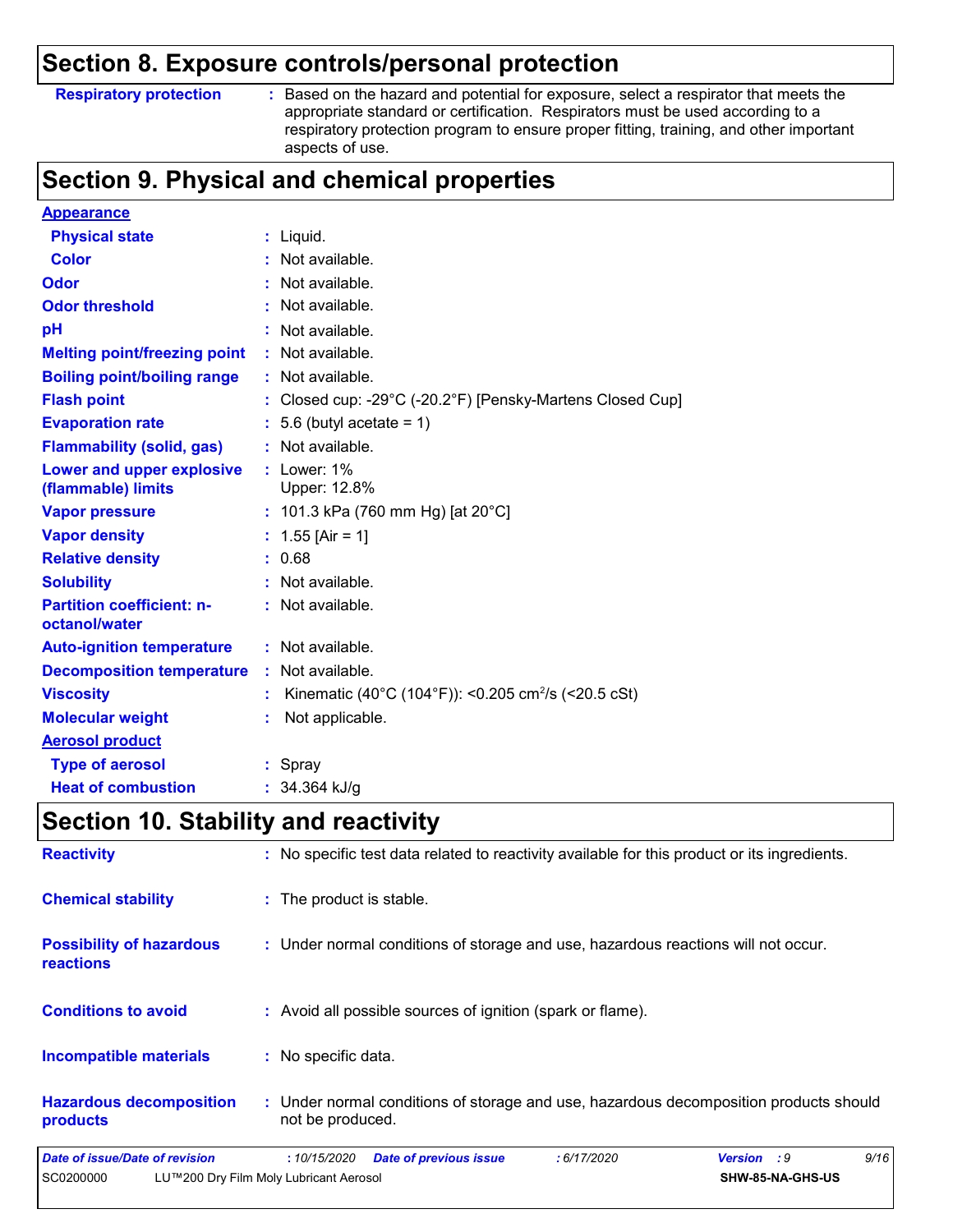#### **Respiratory protection :**

Based on the hazard and potential for exposure, select a respirator that meets the appropriate standard or certification. Respirators must be used according to a respiratory protection program to ensure proper fitting, training, and other important aspects of use.

### **Section 9. Physical and chemical properties**

| <b>Appearance</b>                                 |                                                                 |
|---------------------------------------------------|-----------------------------------------------------------------|
| <b>Physical state</b>                             | : Liquid.                                                       |
| <b>Color</b>                                      | Not available.                                                  |
| Odor                                              | : Not available.                                                |
| <b>Odor threshold</b>                             | Not available.                                                  |
| рH                                                | Not available.                                                  |
| <b>Melting point/freezing point</b>               | Not available.                                                  |
| <b>Boiling point/boiling range</b>                | : Not available.                                                |
| <b>Flash point</b>                                | Closed cup: -29°C (-20.2°F) [Pensky-Martens Closed Cup]         |
| <b>Evaporation rate</b>                           | 5.6 (butyl acetate = $1$ )                                      |
| <b>Flammability (solid, gas)</b>                  | : Not available.                                                |
| Lower and upper explosive<br>(flammable) limits   | $:$ Lower: 1%<br>Upper: 12.8%                                   |
| <b>Vapor pressure</b>                             | : 101.3 kPa (760 mm Hg) [at 20°C]                               |
| <b>Vapor density</b>                              | : $1.55$ [Air = 1]                                              |
| <b>Relative density</b>                           | : 0.68                                                          |
| <b>Solubility</b>                                 | : Not available.                                                |
| <b>Partition coefficient: n-</b><br>octanol/water | : Not available.                                                |
| <b>Auto-ignition temperature</b>                  | : Not available.                                                |
| <b>Decomposition temperature</b>                  | Not available.                                                  |
| <b>Viscosity</b>                                  | Kinematic (40°C (104°F)): <0.205 cm <sup>2</sup> /s (<20.5 cSt) |
| <b>Molecular weight</b>                           | Not applicable.                                                 |
| <b>Aerosol product</b>                            |                                                                 |
| <b>Type of aerosol</b>                            | : Spray                                                         |
| <b>Heat of combustion</b>                         | 34.364 kJ/g                                                     |

## **Section 10. Stability and reactivity**

| SC0200000                                           | LU™200 Dry Film Moly Lubricant Aerosol                                                                    | SHW-85-NA-GHS-US           |  |  |  |
|-----------------------------------------------------|-----------------------------------------------------------------------------------------------------------|----------------------------|--|--|--|
| <b>Date of issue/Date of revision</b>               | <b>Date of previous issue</b><br>: 6/17/2020<br>:10/15/2020                                               | 9/16<br><b>Version</b> : 9 |  |  |  |
| <b>Hazardous decomposition</b><br>products          | : Under normal conditions of storage and use, hazardous decomposition products should<br>not be produced. |                            |  |  |  |
| <b>Incompatible materials</b>                       | : No specific data.                                                                                       |                            |  |  |  |
| <b>Conditions to avoid</b>                          | : Avoid all possible sources of ignition (spark or flame).                                                |                            |  |  |  |
| <b>Possibility of hazardous</b><br><b>reactions</b> | : Under normal conditions of storage and use, hazardous reactions will not occur.                         |                            |  |  |  |
| <b>Chemical stability</b>                           | : The product is stable.                                                                                  |                            |  |  |  |
| <b>Reactivity</b>                                   | : No specific test data related to reactivity available for this product or its ingredients.              |                            |  |  |  |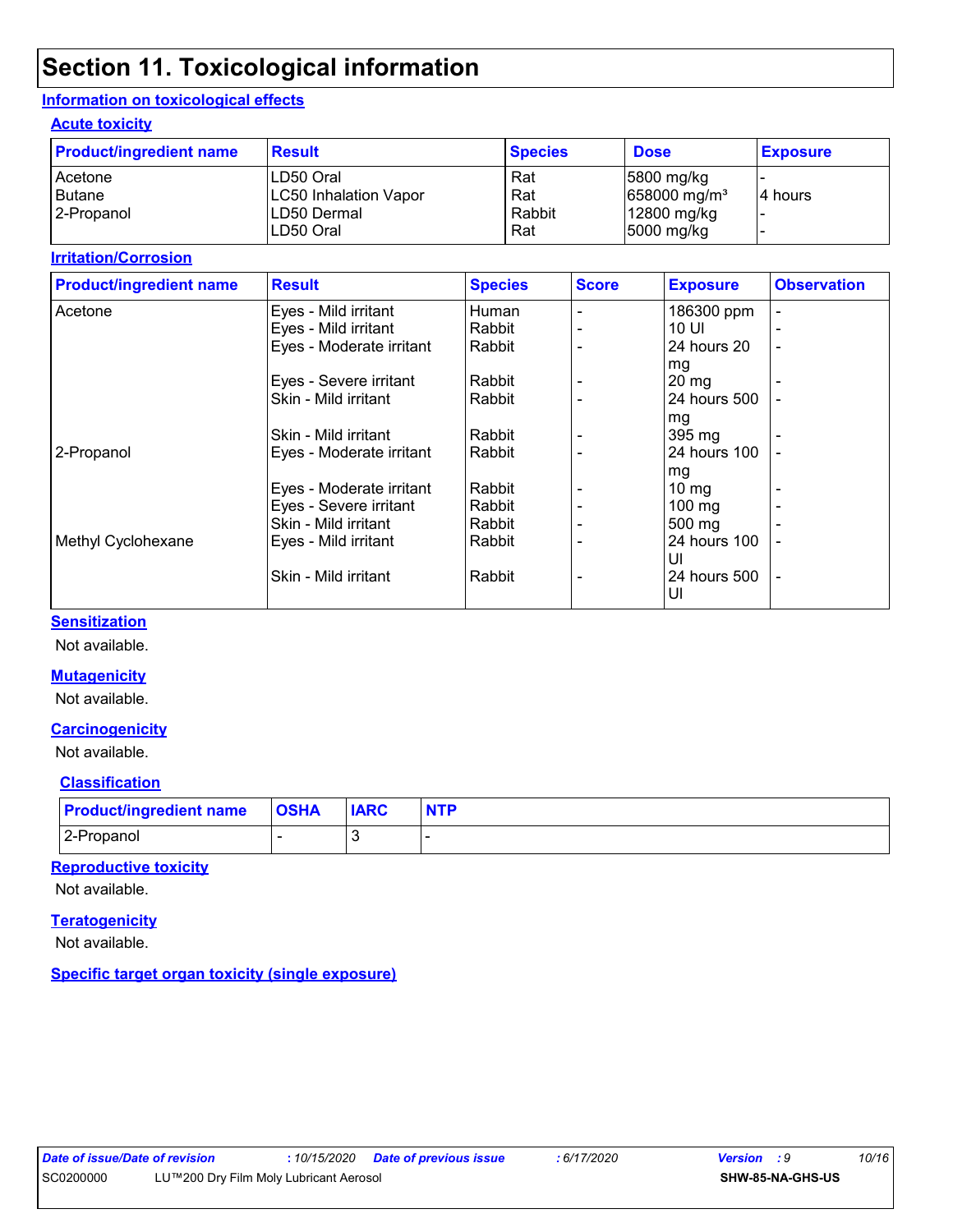## **Section 11. Toxicological information**

#### **Information on toxicological effects**

#### **Acute toxicity**

| <b>Product/ingredient name</b> | <b>Result</b>                | <b>Species</b> | <b>Dose</b>              | <b>Exposure</b> |
|--------------------------------|------------------------------|----------------|--------------------------|-----------------|
| Acetone                        | LD50 Oral                    | Rat            | $ 5800 \rangle$ mg/kg    |                 |
| Butane                         | <b>LC50 Inhalation Vapor</b> | Rat            | 658000 mg/m <sup>3</sup> | 4 hours         |
| 2-Propanol                     | LD50 Dermal                  | Rabbit         | 12800 mg/kg              |                 |
|                                | ILD50 Oral                   | Rat            | 5000 mg/kg               |                 |

#### **Irritation/Corrosion**

|                          | <b>Species</b> | <b>Score</b> | <b>Exposure</b>  | <b>Observation</b>       |
|--------------------------|----------------|--------------|------------------|--------------------------|
| Eyes - Mild irritant     | Human          |              | 186300 ppm       |                          |
| Eyes - Mild irritant     | Rabbit         |              | 10 UI            |                          |
| Eyes - Moderate irritant | Rabbit         |              | 24 hours 20      |                          |
|                          |                |              | mg               |                          |
| Eyes - Severe irritant   | Rabbit         |              | $20 \, mg$       |                          |
| Skin - Mild irritant     | Rabbit         |              | 24 hours 500     |                          |
|                          |                |              | mg               |                          |
| Skin - Mild irritant     | Rabbit         |              | 395 mg           |                          |
| Eyes - Moderate irritant | Rabbit         |              | 24 hours 100     |                          |
|                          |                |              | mg               |                          |
| Eyes - Moderate irritant | Rabbit         |              | $10 \text{ mg}$  |                          |
| Eyes - Severe irritant   | Rabbit         |              | $100 \text{ mg}$ |                          |
| Skin - Mild irritant     | Rabbit         |              | $500 \text{ mg}$ |                          |
| Eyes - Mild irritant     | Rabbit         |              | 24 hours 100     |                          |
|                          |                |              | UI               |                          |
| Skin - Mild irritant     | Rabbit         |              | 24 hours 500     | $\overline{\phantom{a}}$ |
|                          |                |              | UI               |                          |
|                          |                |              |                  |                          |

#### **Sensitization**

Not available.

#### **Mutagenicity**

Not available.

#### **Carcinogenicity**

Not available.

#### **Classification**

| <b>Product/ingredient name OSHA</b> | <b>IARC</b> | <b>NTP</b> |
|-------------------------------------|-------------|------------|
| 2-Propanol                          |             |            |

#### **Reproductive toxicity**

Not available.

#### **Teratogenicity**

Not available.

#### **Specific target organ toxicity (single exposure)**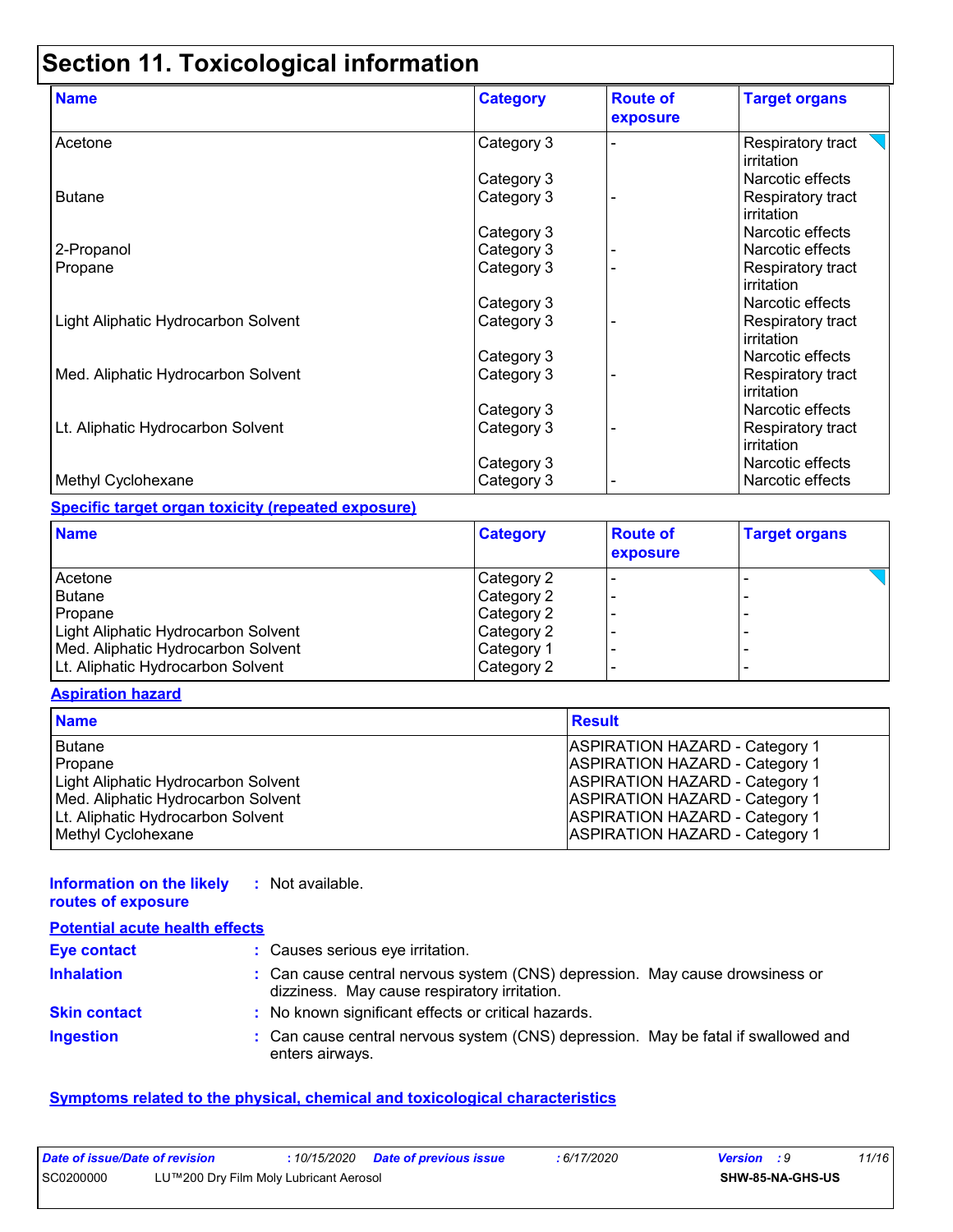# **Section 11. Toxicological information**

| <b>Name</b>                         | <b>Category</b> | <b>Route of</b><br>exposure | <b>Target organs</b>            |
|-------------------------------------|-----------------|-----------------------------|---------------------------------|
| Acetone                             | Category 3      |                             | Respiratory tract<br>irritation |
|                                     | Category 3      |                             | Narcotic effects                |
| <b>Butane</b>                       | Category 3      |                             | Respiratory tract<br>irritation |
|                                     | Category 3      |                             | Narcotic effects                |
| 2-Propanol                          | Category 3      |                             | Narcotic effects                |
| Propane                             | Category 3      |                             | Respiratory tract<br>irritation |
|                                     | Category 3      |                             | Narcotic effects                |
| Light Aliphatic Hydrocarbon Solvent | Category 3      |                             | Respiratory tract<br>irritation |
|                                     | Category 3      |                             | Narcotic effects                |
| Med. Aliphatic Hydrocarbon Solvent  | Category 3      |                             | Respiratory tract<br>irritation |
|                                     | Category 3      |                             | Narcotic effects                |
| Lt. Aliphatic Hydrocarbon Solvent   | Category 3      |                             | Respiratory tract<br>irritation |
|                                     | Category 3      |                             | Narcotic effects                |
| Methyl Cyclohexane                  | Category 3      |                             | Narcotic effects                |

#### **Specific target organ toxicity (repeated exposure)**

| <b>Name</b>                         | <b>Category</b> | <b>Route of</b><br>exposure | <b>Target organs</b> |
|-------------------------------------|-----------------|-----------------------------|----------------------|
| l Acetone                           | Category 2      |                             |                      |
| Butane                              | Category 2      |                             |                      |
| Propane                             | Category 2      |                             |                      |
| Light Aliphatic Hydrocarbon Solvent | Category 2      |                             |                      |
| Med. Aliphatic Hydrocarbon Solvent  | Category 1      |                             |                      |
| Lt. Aliphatic Hydrocarbon Solvent   | Category 2      |                             |                      |

#### **Aspiration hazard**

| <b>Name</b>                         | <b>Result</b>                         |
|-------------------------------------|---------------------------------------|
| <b>Butane</b>                       | <b>ASPIRATION HAZARD - Category 1</b> |
| Propane                             | <b>ASPIRATION HAZARD - Category 1</b> |
| Light Aliphatic Hydrocarbon Solvent | <b>ASPIRATION HAZARD - Category 1</b> |
| Med. Aliphatic Hydrocarbon Solvent  | <b>ASPIRATION HAZARD - Category 1</b> |
| Lt. Aliphatic Hydrocarbon Solvent   | <b>ASPIRATION HAZARD - Category 1</b> |
| Methyl Cyclohexane                  | <b>ASPIRATION HAZARD - Category 1</b> |

| Information on the likely<br>routes of exposure | : Not available.                                                                                                             |
|-------------------------------------------------|------------------------------------------------------------------------------------------------------------------------------|
| <b>Potential acute health effects</b>           |                                                                                                                              |
| <b>Eye contact</b>                              | : Causes serious eye irritation.                                                                                             |
| <b>Inhalation</b>                               | : Can cause central nervous system (CNS) depression. May cause drowsiness or<br>dizziness. May cause respiratory irritation. |
| <b>Skin contact</b>                             | : No known significant effects or critical hazards.                                                                          |
| <b>Ingestion</b>                                | : Can cause central nervous system (CNS) depression. May be fatal if swallowed and<br>enters airways.                        |

#### **Symptoms related to the physical, chemical and toxicological characteristics**

| Date of issue/Date of revision |                                        |  | : 6/17/2020 | <b>Version</b> : 9 |                  | 11/16 |
|--------------------------------|----------------------------------------|--|-------------|--------------------|------------------|-------|
| SC0200000                      | LU™200 Dry Film Moly Lubricant Aerosol |  |             |                    | SHW-85-NA-GHS-US |       |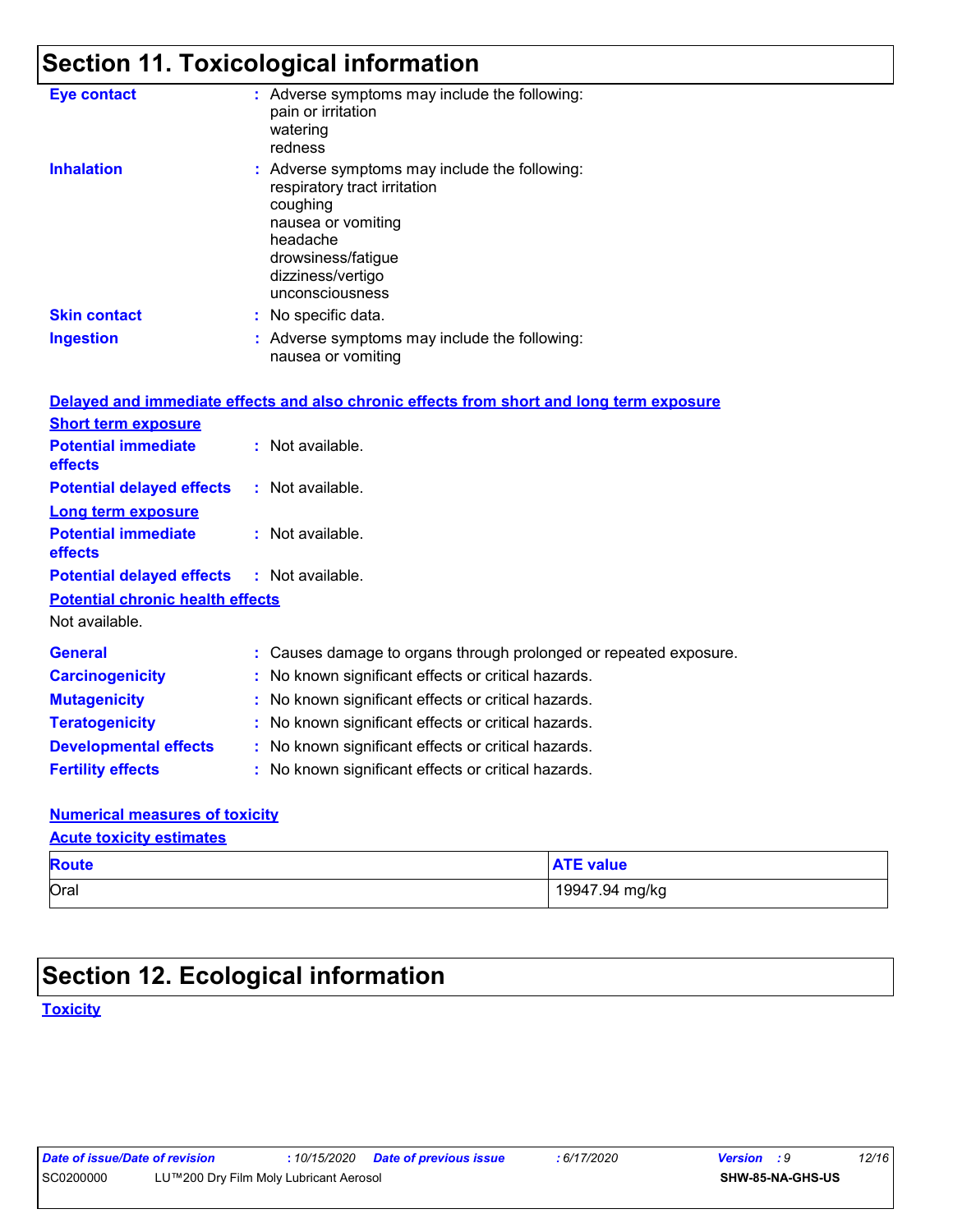# **Section 11. Toxicological information**

| <b>Eye contact</b>                      | : Adverse symptoms may include the following:<br>pain or irritation<br>watering<br>redness                                                                                                |
|-----------------------------------------|-------------------------------------------------------------------------------------------------------------------------------------------------------------------------------------------|
| <b>Inhalation</b>                       | : Adverse symptoms may include the following:<br>respiratory tract irritation<br>coughing<br>nausea or vomiting<br>headache<br>drowsiness/fatigue<br>dizziness/vertigo<br>unconsciousness |
| <b>Skin contact</b>                     | : No specific data.                                                                                                                                                                       |
| <b>Ingestion</b>                        | : Adverse symptoms may include the following:<br>nausea or vomiting                                                                                                                       |
|                                         | Delayed and immediate effects and also chronic effects from short and long term exposure                                                                                                  |
| <b>Short term exposure</b>              |                                                                                                                                                                                           |
| <b>Potential immediate</b><br>effects   | : Not available.                                                                                                                                                                          |
| <b>Potential delayed effects</b>        | : Not available.                                                                                                                                                                          |
| <b>Long term exposure</b>               |                                                                                                                                                                                           |
| <b>Potential immediate</b><br>effects   | : Not available.                                                                                                                                                                          |
| <b>Potential delayed effects</b>        | : Not available.                                                                                                                                                                          |
| <b>Potential chronic health effects</b> |                                                                                                                                                                                           |
| Not available.                          |                                                                                                                                                                                           |
| <b>General</b>                          | : Causes damage to organs through prolonged or repeated exposure.                                                                                                                         |
| <b>Carcinogenicity</b>                  | : No known significant effects or critical hazards.                                                                                                                                       |
| <b>Mutagenicity</b>                     | No known significant effects or critical hazards.                                                                                                                                         |
| <b>Teratogenicity</b>                   | : No known significant effects or critical hazards.                                                                                                                                       |
| <b>Developmental effects</b>            | : No known significant effects or critical hazards.                                                                                                                                       |
| <b>Fertility effects</b>                | : No known significant effects or critical hazards.                                                                                                                                       |
|                                         |                                                                                                                                                                                           |

#### **Numerical measures of toxicity Acute toxicity estimates**

| <b>Route</b> | <b>ATE value</b> |
|--------------|------------------|
| Oral         | 19947.94 mg/kg   |

## **Section 12. Ecological information**

**Toxicity**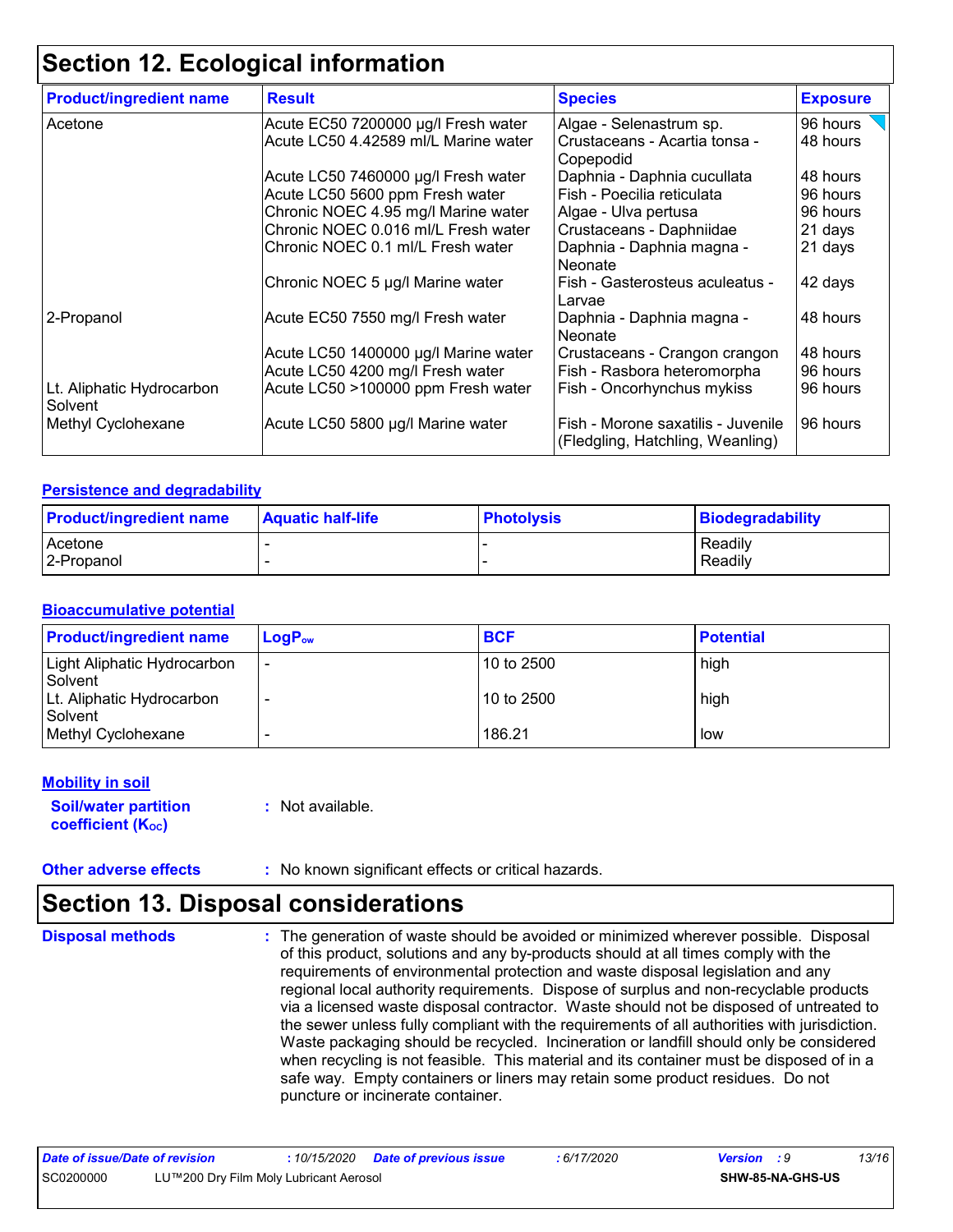## **Section 12. Ecological information**

| <b>Product/ingredient name</b>       | <b>Result</b>                        | <b>Species</b>                                                         | <b>Exposure</b> |
|--------------------------------------|--------------------------------------|------------------------------------------------------------------------|-----------------|
| Acetone                              | Acute EC50 7200000 µg/l Fresh water  | Algae - Selenastrum sp.                                                | 96 hours        |
|                                      | Acute LC50 4.42589 ml/L Marine water | Crustaceans - Acartia tonsa -<br>Copepodid                             | 48 hours        |
|                                      | Acute LC50 7460000 µg/l Fresh water  | Daphnia - Daphnia cucullata                                            | 48 hours        |
|                                      | Acute LC50 5600 ppm Fresh water      | Fish - Poecilia reticulata                                             | 96 hours        |
|                                      | Chronic NOEC 4.95 mg/l Marine water  | Algae - Ulva pertusa                                                   | 96 hours        |
|                                      | Chronic NOEC 0.016 ml/L Fresh water  | Crustaceans - Daphniidae                                               | 21 days         |
|                                      | Chronic NOEC 0.1 ml/L Fresh water    | Daphnia - Daphnia magna -<br><b>Neonate</b>                            | 21 days         |
|                                      | Chronic NOEC 5 µg/l Marine water     | Fish - Gasterosteus aculeatus -<br>Larvae                              | 42 days         |
| 2-Propanol                           | Acute EC50 7550 mg/l Fresh water     | Daphnia - Daphnia magna -<br>Neonate                                   | 48 hours        |
|                                      | Acute LC50 1400000 µg/l Marine water | Crustaceans - Crangon crangon                                          | 48 hours        |
|                                      | Acute LC50 4200 mg/l Fresh water     | Fish - Rasbora heteromorpha                                            | 96 hours        |
| Lt. Aliphatic Hydrocarbon<br>Solvent | Acute LC50 >100000 ppm Fresh water   | Fish - Oncorhynchus mykiss                                             | 96 hours        |
| Methyl Cyclohexane                   | Acute LC50 5800 µg/l Marine water    | Fish - Morone saxatilis - Juvenile<br>(Fledgling, Hatchling, Weanling) | 96 hours        |

#### **Persistence and degradability**

| <b>Product/ingredient name</b> | <b>Aquatic half-life</b> | <b>Photolysis</b> | <b>Biodegradability</b> |
|--------------------------------|--------------------------|-------------------|-------------------------|
| Acetone                        |                          |                   | Readily                 |
| 12-Propanol                    |                          |                   | Readily                 |

#### **Bioaccumulative potential**

| <b>Product/ingredient name</b>         | $LogP_{ow}$                  | <b>BCF</b> | <b>Potential</b> |
|----------------------------------------|------------------------------|------------|------------------|
| Light Aliphatic Hydrocarbon<br>Solvent | $\qquad \qquad \blacksquare$ | 10 to 2500 | high             |
| Lt. Aliphatic Hydrocarbon<br>Solvent   |                              | 10 to 2500 | high             |
| Methyl Cyclohexane                     |                              | 186.21     | low              |

#### **Mobility in soil**

**Soil/water partition coefficient (Koc)** 

**:** Not available.

**Other adverse effects** : No known significant effects or critical hazards.

### **Section 13. Disposal considerations**

**Disposal methods :**

The generation of waste should be avoided or minimized wherever possible. Disposal of this product, solutions and any by-products should at all times comply with the requirements of environmental protection and waste disposal legislation and any regional local authority requirements. Dispose of surplus and non-recyclable products via a licensed waste disposal contractor. Waste should not be disposed of untreated to the sewer unless fully compliant with the requirements of all authorities with jurisdiction. Waste packaging should be recycled. Incineration or landfill should only be considered when recycling is not feasible. This material and its container must be disposed of in a safe way. Empty containers or liners may retain some product residues. Do not puncture or incinerate container.

| Date of issue/Date of revision                      |  |  |  | : 6/17/2020 | <b>Version</b> : 9      |  | 13/16 |
|-----------------------------------------------------|--|--|--|-------------|-------------------------|--|-------|
| SC0200000<br>LU™200 Dry Film Moly Lubricant Aerosol |  |  |  |             | <b>SHW-85-NA-GHS-US</b> |  |       |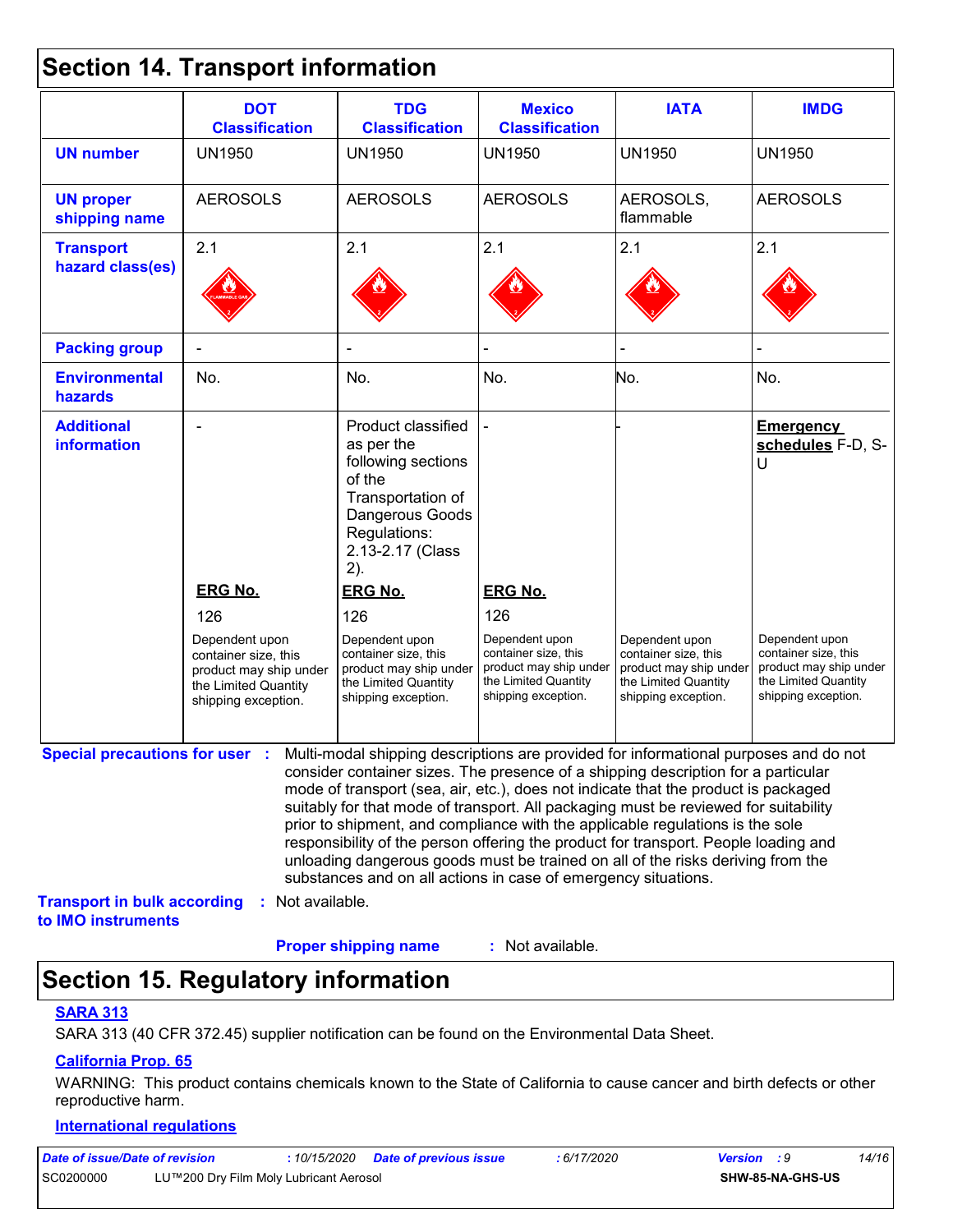### **Section 14. Transport information**

|                                         | <b>DOT</b><br><b>Classification</b>                                                                                    | <b>TDG</b><br><b>Classification</b>                                                                                                                                                                                                                                                                                                                                                                                                                                                                                                                                                                                                                                                 | <b>Mexico</b><br><b>Classification</b>                                                                                 | <b>IATA</b>                                                                                                     | <b>IMDG</b>                                                                                                     |
|-----------------------------------------|------------------------------------------------------------------------------------------------------------------------|-------------------------------------------------------------------------------------------------------------------------------------------------------------------------------------------------------------------------------------------------------------------------------------------------------------------------------------------------------------------------------------------------------------------------------------------------------------------------------------------------------------------------------------------------------------------------------------------------------------------------------------------------------------------------------------|------------------------------------------------------------------------------------------------------------------------|-----------------------------------------------------------------------------------------------------------------|-----------------------------------------------------------------------------------------------------------------|
| <b>UN number</b>                        | <b>UN1950</b>                                                                                                          | <b>UN1950</b>                                                                                                                                                                                                                                                                                                                                                                                                                                                                                                                                                                                                                                                                       | <b>UN1950</b>                                                                                                          | <b>UN1950</b>                                                                                                   | <b>UN1950</b>                                                                                                   |
| <b>UN proper</b><br>shipping name       | <b>AEROSOLS</b>                                                                                                        | <b>AEROSOLS</b>                                                                                                                                                                                                                                                                                                                                                                                                                                                                                                                                                                                                                                                                     | <b>AEROSOLS</b>                                                                                                        | AEROSOLS,<br>flammable                                                                                          | <b>AEROSOLS</b>                                                                                                 |
| <b>Transport</b><br>hazard class(es)    | 2.1                                                                                                                    | 2.1                                                                                                                                                                                                                                                                                                                                                                                                                                                                                                                                                                                                                                                                                 | 2.1                                                                                                                    | 2.1                                                                                                             | 2.1                                                                                                             |
| <b>Packing group</b>                    |                                                                                                                        |                                                                                                                                                                                                                                                                                                                                                                                                                                                                                                                                                                                                                                                                                     |                                                                                                                        |                                                                                                                 |                                                                                                                 |
| <b>Environmental</b><br>hazards         | No.                                                                                                                    | No.                                                                                                                                                                                                                                                                                                                                                                                                                                                                                                                                                                                                                                                                                 | No.                                                                                                                    | No.                                                                                                             | No.                                                                                                             |
| <b>Additional</b><br><b>information</b> | <b>ERG No.</b>                                                                                                         | Product classified<br>as per the<br>following sections<br>of the<br>Transportation of<br>Dangerous Goods<br>Regulations:<br>2.13-2.17 (Class<br>2).<br><b>ERG No.</b>                                                                                                                                                                                                                                                                                                                                                                                                                                                                                                               | <b>ERG No.</b>                                                                                                         |                                                                                                                 | <b>Emergency</b><br>schedules F-D, S-<br>U                                                                      |
|                                         | 126<br>Dependent upon<br>container size, this<br>product may ship under<br>the Limited Quantity<br>shipping exception. | 126<br>Dependent upon<br>container size, this<br>product may ship under<br>the Limited Quantity<br>shipping exception.                                                                                                                                                                                                                                                                                                                                                                                                                                                                                                                                                              | 126<br>Dependent upon<br>container size, this<br>product may ship under<br>the Limited Quantity<br>shipping exception. | Dependent upon<br>container size, this<br>product may ship under<br>the Limited Quantity<br>shipping exception. | Dependent upon<br>container size, this<br>product may ship under<br>the Limited Quantity<br>shipping exception. |
| <b>Special precautions for user :</b>   |                                                                                                                        | Multi-modal shipping descriptions are provided for informational purposes and do not<br>consider container sizes. The presence of a shipping description for a particular<br>mode of transport (sea, air, etc.), does not indicate that the product is packaged<br>suitably for that mode of transport. All packaging must be reviewed for suitability<br>prior to shipment, and compliance with the applicable regulations is the sole<br>responsibility of the person offering the product for transport. People loading and<br>unloading dangerous goods must be trained on all of the risks deriving from the<br>substances and on all actions in case of emergency situations. |                                                                                                                        |                                                                                                                 |                                                                                                                 |

#### **Proper shipping name :**

: Not available.

## **Section 15. Regulatory information**

#### **SARA 313**

SARA 313 (40 CFR 372.45) supplier notification can be found on the Environmental Data Sheet.

#### **California Prop. 65**

WARNING: This product contains chemicals known to the State of California to cause cancer and birth defects or other reproductive harm.

#### **International regulations**

| Date of issue/Date of revision |                                        | 10/15/2020 | <b>Date of previous issue</b> | 6/17/2020 | <b>Version</b> : 9 |                         | 14/16 |
|--------------------------------|----------------------------------------|------------|-------------------------------|-----------|--------------------|-------------------------|-------|
| SC0200000                      | LU™200 Dry Film Moly Lubricant Aerosol |            |                               |           |                    | <b>SHW-85-NA-GHS-US</b> |       |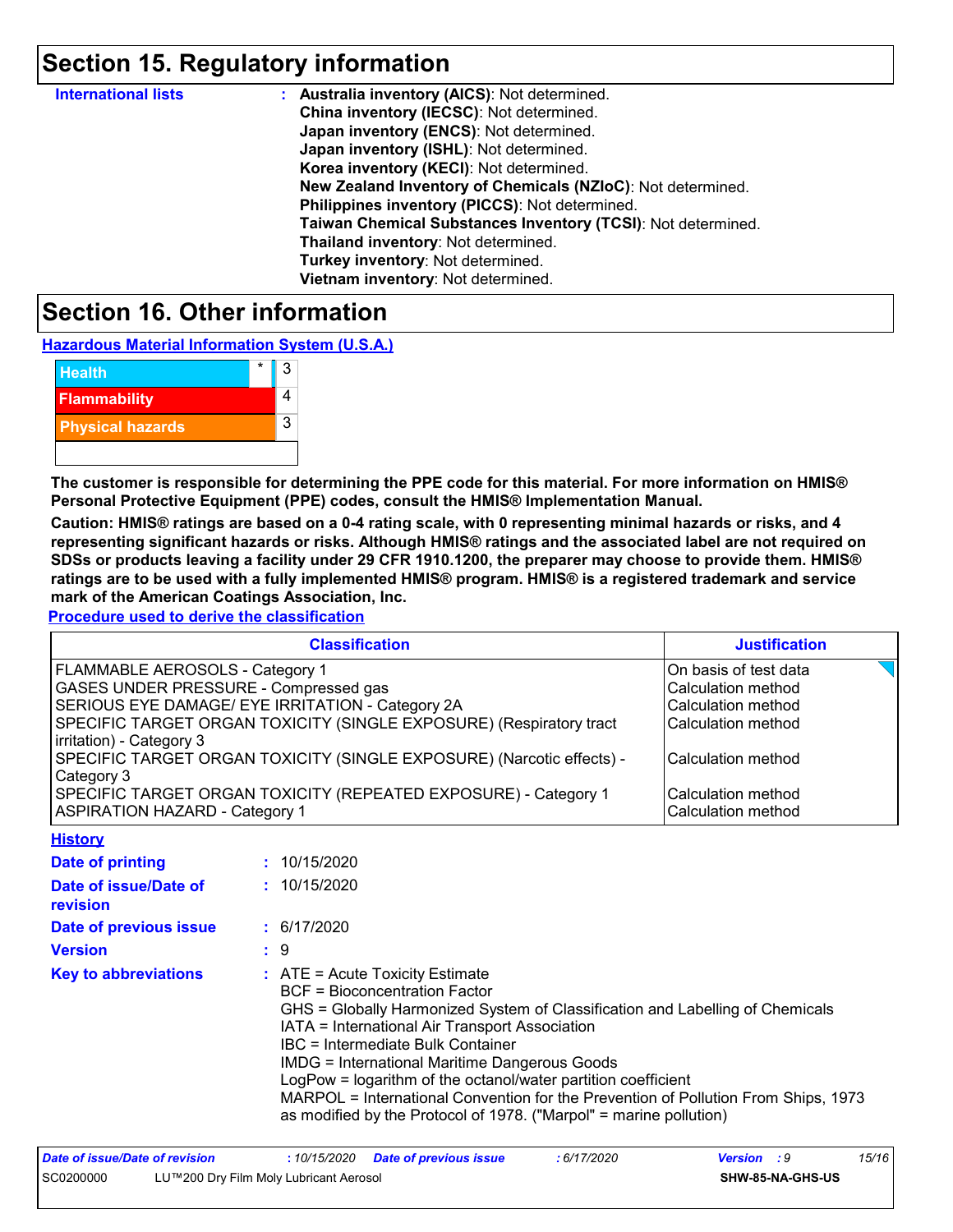### **Section 15. Regulatory information**

| <b>International lists</b> | : Australia inventory (AICS): Not determined.                |
|----------------------------|--------------------------------------------------------------|
|                            | China inventory (IECSC): Not determined.                     |
|                            | Japan inventory (ENCS): Not determined.                      |
|                            | Japan inventory (ISHL): Not determined.                      |
|                            | Korea inventory (KECI): Not determined.                      |
|                            | New Zealand Inventory of Chemicals (NZIoC): Not determined.  |
|                            | Philippines inventory (PICCS): Not determined.               |
|                            | Taiwan Chemical Substances Inventory (TCSI): Not determined. |
|                            | Thailand inventory: Not determined.                          |
|                            | Turkey inventory: Not determined.                            |
|                            | Vietnam inventory: Not determined.                           |

### **Section 16. Other information**

**Hazardous Material Information System (U.S.A.)**

| <b>Health</b>           | 3 |
|-------------------------|---|
| <b>Flammability</b>     |   |
| <b>Physical hazards</b> | 3 |
|                         |   |

**The customer is responsible for determining the PPE code for this material. For more information on HMIS® Personal Protective Equipment (PPE) codes, consult the HMIS® Implementation Manual.**

**Caution: HMIS® ratings are based on a 0-4 rating scale, with 0 representing minimal hazards or risks, and 4 representing significant hazards or risks. Although HMIS® ratings and the associated label are not required on SDSs or products leaving a facility under 29 CFR 1910.1200, the preparer may choose to provide them. HMIS® ratings are to be used with a fully implemented HMIS® program. HMIS® is a registered trademark and service mark of the American Coatings Association, Inc.**

**Procedure used to derive the classification**

**History**

| <b>Classification</b>                                                 | <b>Justification</b>  |  |  |
|-----------------------------------------------------------------------|-----------------------|--|--|
| FLAMMABLE AEROSOLS - Category 1                                       | On basis of test data |  |  |
| <b>GASES UNDER PRESSURE - Compressed gas</b>                          | Calculation method    |  |  |
| SERIOUS EYE DAMAGE/ EYE IRRITATION - Category 2A                      | Calculation method    |  |  |
| SPECIFIC TARGET ORGAN TOXICITY (SINGLE EXPOSURE) (Respiratory tract   | Calculation method    |  |  |
| irritation) - Category 3                                              |                       |  |  |
| SPECIFIC TARGET ORGAN TOXICITY (SINGLE EXPOSURE) (Narcotic effects) - | Calculation method    |  |  |
| Category 3                                                            |                       |  |  |
| SPECIFIC TARGET ORGAN TOXICITY (REPEATED EXPOSURE) - Category 1       | Calculation method    |  |  |
| <b>ASPIRATION HAZARD - Category 1</b>                                 | Calculation method    |  |  |

| <u>ніэш у</u>                     |                                                                                                                                                                                                                                                                                                                                                                                                                                                                                                                                          |
|-----------------------------------|------------------------------------------------------------------------------------------------------------------------------------------------------------------------------------------------------------------------------------------------------------------------------------------------------------------------------------------------------------------------------------------------------------------------------------------------------------------------------------------------------------------------------------------|
| Date of printing                  | : 10/15/2020                                                                                                                                                                                                                                                                                                                                                                                                                                                                                                                             |
| Date of issue/Date of<br>revision | : 10/15/2020                                                                                                                                                                                                                                                                                                                                                                                                                                                                                                                             |
| Date of previous issue            | : 6/17/2020                                                                                                                                                                                                                                                                                                                                                                                                                                                                                                                              |
| <b>Version</b>                    | : 9                                                                                                                                                                                                                                                                                                                                                                                                                                                                                                                                      |
| <b>Key to abbreviations</b>       | $\therefore$ ATE = Acute Toxicity Estimate<br>BCF = Bioconcentration Factor<br>GHS = Globally Harmonized System of Classification and Labelling of Chemicals<br>IATA = International Air Transport Association<br>IBC = Intermediate Bulk Container<br><b>IMDG = International Maritime Dangerous Goods</b><br>LogPow = logarithm of the octanol/water partition coefficient<br>MARPOL = International Convention for the Prevention of Pollution From Ships, 1973<br>as modified by the Protocol of 1978. ("Marpol" = marine pollution) |

| Date of issue/Date of revision |                                        |  | : 6/17/2020 | <b>Version</b> : 9 |                         | 15/16 |
|--------------------------------|----------------------------------------|--|-------------|--------------------|-------------------------|-------|
| SC0200000                      | LU™200 Dry Film Moly Lubricant Aerosol |  |             |                    | <b>SHW-85-NA-GHS-US</b> |       |